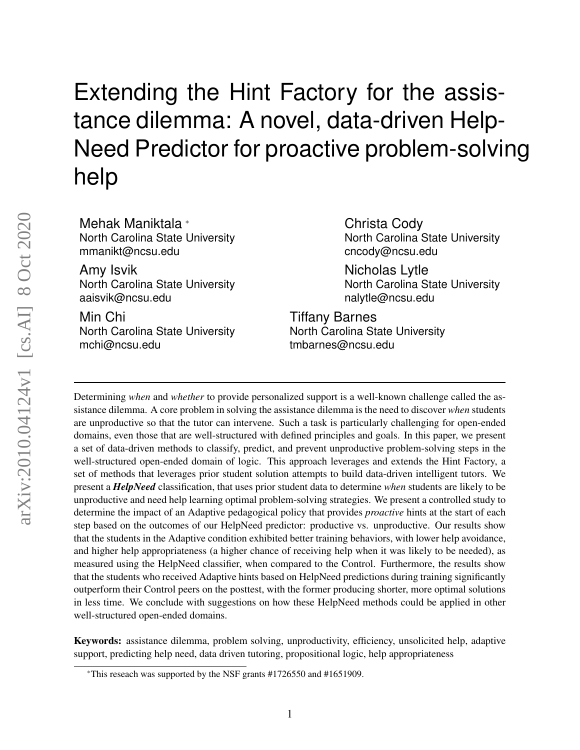# Extending the Hint Factory for the assistance dilemma: A novel, data-driven Help-Need Predictor for proactive problem-solving help

Mehak Maniktala \* North Carolina State University mmanikt@ncsu.edu

Amy Isvik North Carolina State University aaisvik@ncsu.edu

Min Chi North Carolina State University mchi@ncsu.edu

Christa Cody North Carolina State University cncody@ncsu.edu

Nicholas Lytle North Carolina State University nalytle@ncsu.edu

Tiffany Barnes North Carolina State University tmbarnes@ncsu.edu

Determining *when* and *whether* to provide personalized support is a well-known challenge called the assistance dilemma. A core problem in solving the assistance dilemma is the need to discover *when* students are unproductive so that the tutor can intervene. Such a task is particularly challenging for open-ended domains, even those that are well-structured with defined principles and goals. In this paper, we present a set of data-driven methods to classify, predict, and prevent unproductive problem-solving steps in the well-structured open-ended domain of logic. This approach leverages and extends the Hint Factory, a set of methods that leverages prior student solution attempts to build data-driven intelligent tutors. We present a *HelpNeed* classification, that uses prior student data to determine *when* students are likely to be unproductive and need help learning optimal problem-solving strategies. We present a controlled study to determine the impact of an Adaptive pedagogical policy that provides *proactive* hints at the start of each step based on the outcomes of our HelpNeed predictor: productive vs. unproductive. Our results show that the students in the Adaptive condition exhibited better training behaviors, with lower help avoidance, and higher help appropriateness (a higher chance of receiving help when it was likely to be needed), as measured using the HelpNeed classifier, when compared to the Control. Furthermore, the results show that the students who received Adaptive hints based on HelpNeed predictions during training significantly outperform their Control peers on the posttest, with the former producing shorter, more optimal solutions in less time. We conclude with suggestions on how these HelpNeed methods could be applied in other well-structured open-ended domains.

Keywords: assistance dilemma, problem solving, unproductivity, efficiency, unsolicited help, adaptive support, predicting help need, data driven tutoring, propositional logic, help appropriateness

<sup>\*</sup>This reseach was supported by the NSF grants #1726550 and #1651909.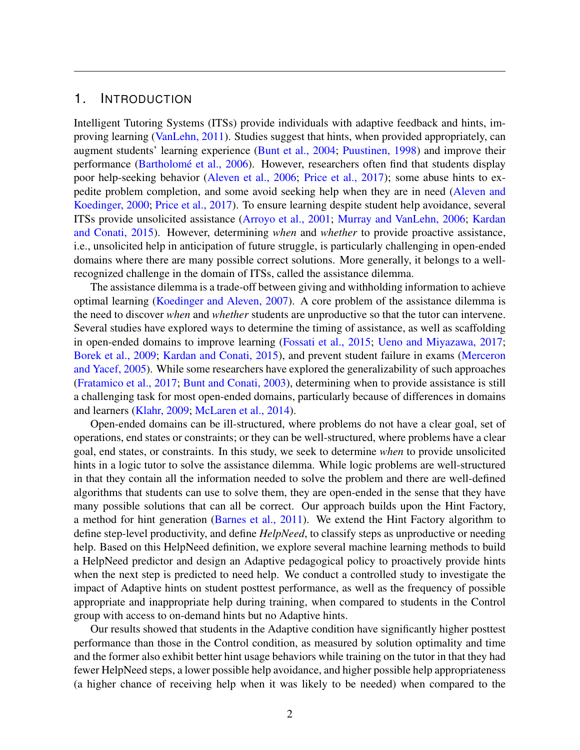#### 1. INTRODUCTION

Intelligent Tutoring Systems (ITSs) provide individuals with adaptive feedback and hints, improving learning [\(VanLehn, 2011\)](#page-32-0). Studies suggest that hints, when provided appropriately, can augment students' learning experience [\(Bunt et al., 2004;](#page-30-0) [Puustinen, 1998\)](#page-32-1) and improve their performance (Bartholomé et al., 2006). However, researchers often find that students display poor help-seeking behavior [\(Aleven et al., 2006;](#page-29-1) [Price et al., 2017\)](#page-32-2); some abuse hints to expedite problem completion, and some avoid seeking help when they are in need [\(Aleven and](#page-28-0) [Koedinger, 2000;](#page-28-0) [Price et al., 2017\)](#page-32-3). To ensure learning despite student help avoidance, several ITSs provide unsolicited assistance [\(Arroyo et al., 2001;](#page-29-2) [Murray and VanLehn, 2006;](#page-31-0) [Kardan](#page-30-1) [and Conati, 2015\)](#page-30-1). However, determining *when* and *whether* to provide proactive assistance, i.e., unsolicited help in anticipation of future struggle, is particularly challenging in open-ended domains where there are many possible correct solutions. More generally, it belongs to a wellrecognized challenge in the domain of ITSs, called the assistance dilemma.

The assistance dilemma is a trade-off between giving and withholding information to achieve optimal learning [\(Koedinger and Aleven, 2007\)](#page-31-1). A core problem of the assistance dilemma is the need to discover *when* and *whether* students are unproductive so that the tutor can intervene. Several studies have explored ways to determine the timing of assistance, as well as scaffolding in open-ended domains to improve learning [\(Fossati et al., 2015;](#page-30-2) [Ueno and Miyazawa, 2017;](#page-32-4) [Borek et al., 2009;](#page-29-3) [Kardan and Conati, 2015\)](#page-30-1), and prevent student failure in exams [\(Merceron](#page-31-2) [and Yacef, 2005\)](#page-31-2). While some researchers have explored the generalizability of such approaches [\(Fratamico et al., 2017;](#page-30-3) [Bunt and Conati, 2003\)](#page-30-4), determining when to provide assistance is still a challenging task for most open-ended domains, particularly because of differences in domains and learners [\(Klahr, 2009;](#page-31-3) [McLaren et al., 2014\)](#page-31-4).

Open-ended domains can be ill-structured, where problems do not have a clear goal, set of operations, end states or constraints; or they can be well-structured, where problems have a clear goal, end states, or constraints. In this study, we seek to determine *when* to provide unsolicited hints in a logic tutor to solve the assistance dilemma. While logic problems are well-structured in that they contain all the information needed to solve the problem and there are well-defined algorithms that students can use to solve them, they are open-ended in the sense that they have many possible solutions that can all be correct. Our approach builds upon the Hint Factory, a method for hint generation [\(Barnes et al., 2011\)](#page-29-4). We extend the Hint Factory algorithm to define step-level productivity, and define *HelpNeed*, to classify steps as unproductive or needing help. Based on this HelpNeed definition, we explore several machine learning methods to build a HelpNeed predictor and design an Adaptive pedagogical policy to proactively provide hints when the next step is predicted to need help. We conduct a controlled study to investigate the impact of Adaptive hints on student posttest performance, as well as the frequency of possible appropriate and inappropriate help during training, when compared to students in the Control group with access to on-demand hints but no Adaptive hints.

Our results showed that students in the Adaptive condition have significantly higher posttest performance than those in the Control condition, as measured by solution optimality and time and the former also exhibit better hint usage behaviors while training on the tutor in that they had fewer HelpNeed steps, a lower possible help avoidance, and higher possible help appropriateness (a higher chance of receiving help when it was likely to be needed) when compared to the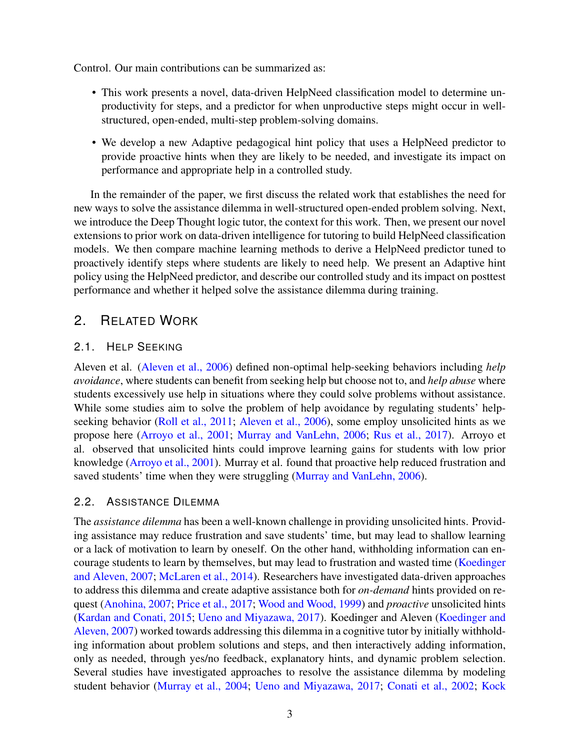Control. Our main contributions can be summarized as:

- This work presents a novel, data-driven HelpNeed classification model to determine unproductivity for steps, and a predictor for when unproductive steps might occur in wellstructured, open-ended, multi-step problem-solving domains.
- We develop a new Adaptive pedagogical hint policy that uses a HelpNeed predictor to provide proactive hints when they are likely to be needed, and investigate its impact on performance and appropriate help in a controlled study.

In the remainder of the paper, we first discuss the related work that establishes the need for new ways to solve the assistance dilemma in well-structured open-ended problem solving. Next, we introduce the Deep Thought logic tutor, the context for this work. Then, we present our novel extensions to prior work on data-driven intelligence for tutoring to build HelpNeed classification models. We then compare machine learning methods to derive a HelpNeed predictor tuned to proactively identify steps where students are likely to need help. We present an Adaptive hint policy using the HelpNeed predictor, and describe our controlled study and its impact on posttest performance and whether it helped solve the assistance dilemma during training.

## 2. RELATED WORK

## 2.1. HELP SEEKING

Aleven et al. [\(Aleven et al., 2006\)](#page-29-1) defined non-optimal help-seeking behaviors including *help avoidance*, where students can benefit from seeking help but choose not to, and *help abuse* where students excessively use help in situations where they could solve problems without assistance. While some studies aim to solve the problem of help avoidance by regulating students' help-seeking behavior [\(Roll et al., 2011;](#page-32-5) [Aleven et al., 2006\)](#page-29-1), some employ unsolicited hints as we propose here [\(Arroyo et al., 2001;](#page-29-2) [Murray and VanLehn, 2006;](#page-31-0) [Rus et al., 2017\)](#page-32-6). Arroyo et al. observed that unsolicited hints could improve learning gains for students with low prior knowledge [\(Arroyo et al., 2001\)](#page-29-2). Murray et al. found that proactive help reduced frustration and saved students' time when they were struggling [\(Murray and VanLehn, 2006\)](#page-31-0).

#### 2.2. ASSISTANCE DILEMMA

The *assistance dilemma* has been a well-known challenge in providing unsolicited hints. Providing assistance may reduce frustration and save students' time, but may lead to shallow learning or a lack of motivation to learn by oneself. On the other hand, withholding information can encourage students to learn by themselves, but may lead to frustration and wasted time [\(Koedinger](#page-31-1) [and Aleven, 2007;](#page-31-1) [McLaren et al., 2014\)](#page-31-4). Researchers have investigated data-driven approaches to address this dilemma and create adaptive assistance both for *on-demand* hints provided on request [\(Anohina, 2007;](#page-29-5) [Price et al., 2017;](#page-32-3) [Wood and Wood, 1999\)](#page-32-7) and *proactive* unsolicited hints [\(Kardan and Conati, 2015;](#page-30-1) [Ueno and Miyazawa, 2017\)](#page-32-4). Koedinger and Aleven [\(Koedinger and](#page-31-1) [Aleven, 2007\)](#page-31-1) worked towards addressing this dilemma in a cognitive tutor by initially withholding information about problem solutions and steps, and then interactively adding information, only as needed, through yes/no feedback, explanatory hints, and dynamic problem selection. Several studies have investigated approaches to resolve the assistance dilemma by modeling student behavior [\(Murray et al., 2004;](#page-31-5) [Ueno and Miyazawa, 2017;](#page-32-4) [Conati et al., 2002;](#page-30-5) [Kock](#page-31-6)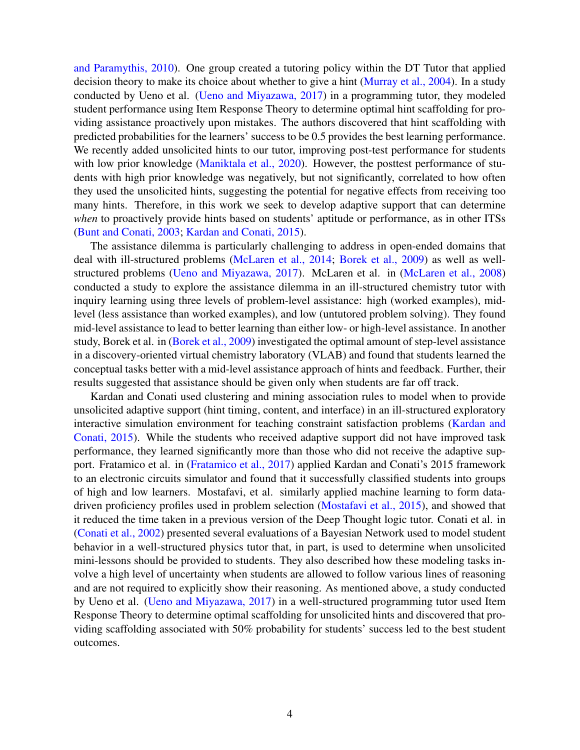[and Paramythis, 2010\)](#page-31-6). One group created a tutoring policy within the DT Tutor that applied decision theory to make its choice about whether to give a hint [\(Murray et al., 2004\)](#page-31-5). In a study conducted by Ueno et al. [\(Ueno and Miyazawa, 2017\)](#page-32-4) in a programming tutor, they modeled student performance using Item Response Theory to determine optimal hint scaffolding for providing assistance proactively upon mistakes. The authors discovered that hint scaffolding with predicted probabilities for the learners' success to be 0.5 provides the best learning performance. We recently added unsolicited hints to our tutor, improving post-test performance for students with low prior knowledge [\(Maniktala et al., 2020\)](#page-31-7). However, the posttest performance of students with high prior knowledge was negatively, but not significantly, correlated to how often they used the unsolicited hints, suggesting the potential for negative effects from receiving too many hints. Therefore, in this work we seek to develop adaptive support that can determine *when* to proactively provide hints based on students' aptitude or performance, as in other ITSs [\(Bunt and Conati, 2003;](#page-30-4) [Kardan and Conati, 2015\)](#page-30-1).

The assistance dilemma is particularly challenging to address in open-ended domains that deal with ill-structured problems [\(McLaren et al., 2014;](#page-31-4) [Borek et al., 2009\)](#page-29-3) as well as wellstructured problems [\(Ueno and Miyazawa, 2017\)](#page-32-4). McLaren et al. in [\(McLaren et al., 2008\)](#page-31-8) conducted a study to explore the assistance dilemma in an ill-structured chemistry tutor with inquiry learning using three levels of problem-level assistance: high (worked examples), midlevel (less assistance than worked examples), and low (untutored problem solving). They found mid-level assistance to lead to better learning than either low- or high-level assistance. In another study, Borek et al. in [\(Borek et al., 2009\)](#page-29-3) investigated the optimal amount of step-level assistance in a discovery-oriented virtual chemistry laboratory (VLAB) and found that students learned the conceptual tasks better with a mid-level assistance approach of hints and feedback. Further, their results suggested that assistance should be given only when students are far off track.

Kardan and Conati used clustering and mining association rules to model when to provide unsolicited adaptive support (hint timing, content, and interface) in an ill-structured exploratory interactive simulation environment for teaching constraint satisfaction problems [\(Kardan and](#page-30-1) [Conati, 2015\)](#page-30-1). While the students who received adaptive support did not have improved task performance, they learned significantly more than those who did not receive the adaptive support. Fratamico et al. in [\(Fratamico et al., 2017\)](#page-30-3) applied Kardan and Conati's 2015 framework to an electronic circuits simulator and found that it successfully classified students into groups of high and low learners. Mostafavi, et al. similarly applied machine learning to form datadriven proficiency profiles used in problem selection [\(Mostafavi et al., 2015\)](#page-31-9), and showed that it reduced the time taken in a previous version of the Deep Thought logic tutor. Conati et al. in [\(Conati et al., 2002\)](#page-30-5) presented several evaluations of a Bayesian Network used to model student behavior in a well-structured physics tutor that, in part, is used to determine when unsolicited mini-lessons should be provided to students. They also described how these modeling tasks involve a high level of uncertainty when students are allowed to follow various lines of reasoning and are not required to explicitly show their reasoning. As mentioned above, a study conducted by Ueno et al. [\(Ueno and Miyazawa, 2017\)](#page-32-4) in a well-structured programming tutor used Item Response Theory to determine optimal scaffolding for unsolicited hints and discovered that providing scaffolding associated with 50% probability for students' success led to the best student outcomes.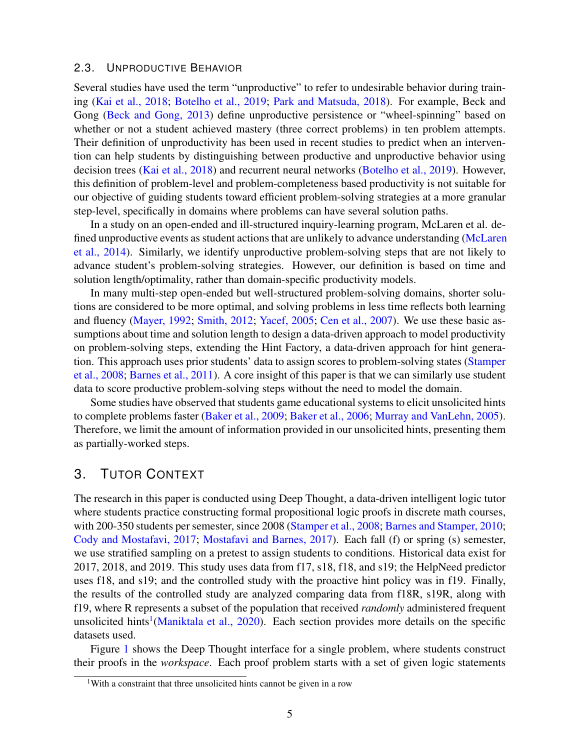#### 2.3. UNPRODUCTIVE BEHAVIOR

Several studies have used the term "unproductive" to refer to undesirable behavior during training [\(Kai et al., 2018;](#page-30-6) [Botelho et al., 2019;](#page-29-6) [Park and Matsuda, 2018\)](#page-31-10). For example, Beck and Gong [\(Beck and Gong, 2013\)](#page-29-7) define unproductive persistence or "wheel-spinning" based on whether or not a student achieved mastery (three correct problems) in ten problem attempts. Their definition of unproductivity has been used in recent studies to predict when an intervention can help students by distinguishing between productive and unproductive behavior using decision trees [\(Kai et al., 2018\)](#page-30-6) and recurrent neural networks [\(Botelho et al., 2019\)](#page-29-6). However, this definition of problem-level and problem-completeness based productivity is not suitable for our objective of guiding students toward efficient problem-solving strategies at a more granular step-level, specifically in domains where problems can have several solution paths.

In a study on an open-ended and ill-structured inquiry-learning program, McLaren et al. defined unproductive events as student actions that are unlikely to advance understanding [\(McLaren](#page-31-4) [et al., 2014\)](#page-31-4). Similarly, we identify unproductive problem-solving steps that are not likely to advance student's problem-solving strategies. However, our definition is based on time and solution length/optimality, rather than domain-specific productivity models.

In many multi-step open-ended but well-structured problem-solving domains, shorter solutions are considered to be more optimal, and solving problems in less time reflects both learning and fluency [\(Mayer, 1992;](#page-31-11) [Smith, 2012;](#page-32-8) [Yacef, 2005;](#page-32-9) [Cen et al., 2007\)](#page-30-7). We use these basic assumptions about time and solution length to design a data-driven approach to model productivity on problem-solving steps, extending the Hint Factory, a data-driven approach for hint generation. This approach uses prior students' data to assign scores to problem-solving states [\(Stamper](#page-32-10) [et al., 2008;](#page-32-10) [Barnes et al., 2011\)](#page-29-4). A core insight of this paper is that we can similarly use student data to score productive problem-solving steps without the need to model the domain.

Some studies have observed that students game educational systems to elicit unsolicited hints to complete problems faster [\(Baker et al., 2009;](#page-29-8) [Baker et al., 2006;](#page-29-9) [Murray and VanLehn, 2005\)](#page-31-12). Therefore, we limit the amount of information provided in our unsolicited hints, presenting them as partially-worked steps.

## <span id="page-4-1"></span>3. TUTOR CONTEXT

The research in this paper is conducted using Deep Thought, a data-driven intelligent logic tutor where students practice constructing formal propositional logic proofs in discrete math courses, with 200-350 students per semester, since 2008 [\(Stamper et al., 2008;](#page-32-10) [Barnes and Stamper, 2010;](#page-29-10) [Cody and Mostafavi, 2017;](#page-30-8) [Mostafavi and Barnes, 2017\)](#page-31-13). Each fall (f) or spring (s) semester, we use stratified sampling on a pretest to assign students to conditions. Historical data exist for 2017, 2018, and 2019. This study uses data from f17, s18, f18, and s19; the HelpNeed predictor uses f18, and s19; and the controlled study with the proactive hint policy was in f19. Finally, the results of the controlled study are analyzed comparing data from f18R, s19R, along with f19, where R represents a subset of the population that received *randomly* administered frequent unsolicited hints<sup>[1](#page-4-0)</sup>[\(Maniktala et al., 2020\)](#page-31-7). Each section provides more details on the specific datasets used.

Figure [1](#page-5-0) shows the Deep Thought interface for a single problem, where students construct their proofs in the *workspace*. Each proof problem starts with a set of given logic statements

<span id="page-4-0"></span><sup>1</sup>With a constraint that three unsolicited hints cannot be given in a row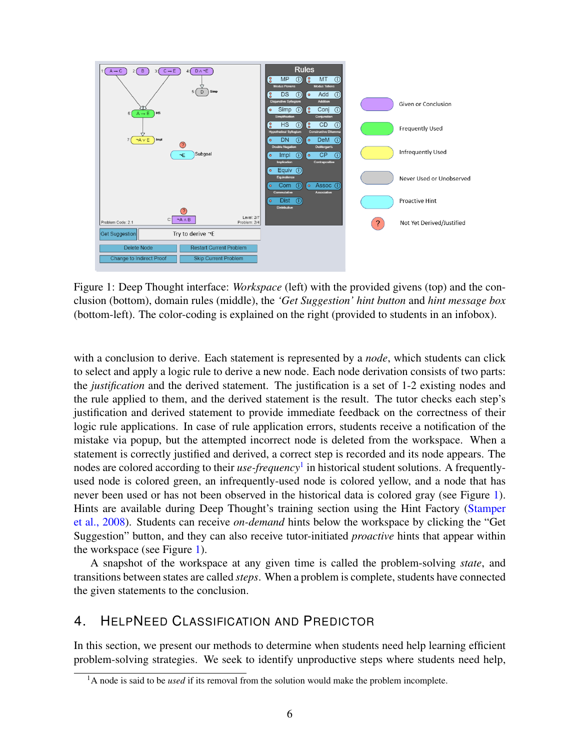<span id="page-5-0"></span>

Figure 1: Deep Thought interface: *Workspace* (left) with the provided givens (top) and the conclusion (bottom), domain rules (middle), the *'Get Suggestion' hint button* and *hint message box* (bottom-left). The color-coding is explained on the right (provided to students in an infobox).

with a conclusion to derive. Each statement is represented by a *node*, which students can click to select and apply a logic rule to derive a new node. Each node derivation consists of two parts: the *justification* and the derived statement. The justification is a set of 1-2 existing nodes and the rule applied to them, and the derived statement is the result. The tutor checks each step's justification and derived statement to provide immediate feedback on the correctness of their logic rule applications. In case of rule application errors, students receive a notification of the mistake via popup, but the attempted incorrect node is deleted from the workspace. When a statement is correctly justified and derived, a correct step is recorded and its node appears. The nodes are colored according to their *use-frequency*[1](#page-5-1) in historical student solutions. A frequentlyused node is colored green, an infrequently-used node is colored yellow, and a node that has never been used or has not been observed in the historical data is colored gray (see Figure [1\)](#page-5-0). Hints are available during Deep Thought's training section using the Hint Factory [\(Stamper](#page-32-10) [et al., 2008\)](#page-32-10). Students can receive *on-demand* hints below the workspace by clicking the "Get Suggestion" button, and they can also receive tutor-initiated *proactive* hints that appear within the workspace (see Figure [1\)](#page-5-0).

A snapshot of the workspace at any given time is called the problem-solving *state*, and transitions between states are called *steps*. When a problem is complete, students have connected the given statements to the conclusion.

## 4. HELPNEED CLASSIFICATION AND PREDICTOR

In this section, we present our methods to determine when students need help learning efficient problem-solving strategies. We seek to identify unproductive steps where students need help,

<span id="page-5-1"></span><sup>&</sup>lt;sup>1</sup>A node is said to be *used* if its removal from the solution would make the problem incomplete.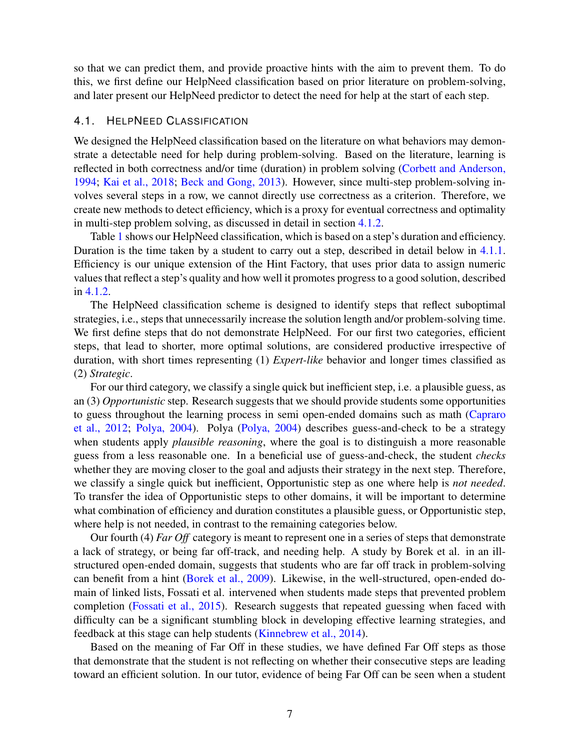so that we can predict them, and provide proactive hints with the aim to prevent them. To do this, we first define our HelpNeed classification based on prior literature on problem-solving, and later present our HelpNeed predictor to detect the need for help at the start of each step.

#### 4.1. HELPNEED CLASSIFICATION

We designed the HelpNeed classification based on the literature on what behaviors may demonstrate a detectable need for help during problem-solving. Based on the literature, learning is reflected in both correctness and/or time (duration) in problem solving [\(Corbett and Anderson,](#page-30-9) [1994;](#page-30-9) [Kai et al., 2018;](#page-30-6) [Beck and Gong, 2013\)](#page-29-7). However, since multi-step problem-solving involves several steps in a row, we cannot directly use correctness as a criterion. Therefore, we create new methods to detect efficiency, which is a proxy for eventual correctness and optimality in multi-step problem solving, as discussed in detail in section [4.1.2.](#page-7-0)

Table [1](#page-7-1) shows our HelpNeed classification, which is based on a step's duration and efficiency. Duration is the time taken by a student to carry out a step, described in detail below in [4.1.1.](#page-7-2) Efficiency is our unique extension of the Hint Factory, that uses prior data to assign numeric values that reflect a step's quality and how well it promotes progress to a good solution, described in [4.1.2.](#page-7-0)

The HelpNeed classification scheme is designed to identify steps that reflect suboptimal strategies, i.e., steps that unnecessarily increase the solution length and/or problem-solving time. We first define steps that do not demonstrate HelpNeed. For our first two categories, efficient steps, that lead to shorter, more optimal solutions, are considered productive irrespective of duration, with short times representing (1) *Expert-like* behavior and longer times classified as (2) *Strategic*.

For our third category, we classify a single quick but inefficient step, i.e. a plausible guess, as an (3) *Opportunistic* step. Research suggests that we should provide students some opportunities to guess throughout the learning process in semi open-ended domains such as math [\(Capraro](#page-30-10) [et al., 2012;](#page-30-10) [Polya, 2004\)](#page-32-11). Polya [\(Polya, 2004\)](#page-32-11) describes guess-and-check to be a strategy when students apply *plausible reasoning*, where the goal is to distinguish a more reasonable guess from a less reasonable one. In a beneficial use of guess-and-check, the student *checks* whether they are moving closer to the goal and adjusts their strategy in the next step. Therefore, we classify a single quick but inefficient, Opportunistic step as one where help is *not needed*. To transfer the idea of Opportunistic steps to other domains, it will be important to determine what combination of efficiency and duration constitutes a plausible guess, or Opportunistic step, where help is not needed, in contrast to the remaining categories below.

Our fourth (4) *Far Off* category is meant to represent one in a series of steps that demonstrate a lack of strategy, or being far off-track, and needing help. A study by Borek et al. in an illstructured open-ended domain, suggests that students who are far off track in problem-solving can benefit from a hint [\(Borek et al., 2009\)](#page-29-3). Likewise, in the well-structured, open-ended domain of linked lists, Fossati et al. intervened when students made steps that prevented problem completion [\(Fossati et al., 2015\)](#page-30-2). Research suggests that repeated guessing when faced with difficulty can be a significant stumbling block in developing effective learning strategies, and feedback at this stage can help students [\(Kinnebrew et al., 2014\)](#page-30-11).

Based on the meaning of Far Off in these studies, we have defined Far Off steps as those that demonstrate that the student is not reflecting on whether their consecutive steps are leading toward an efficient solution. In our tutor, evidence of being Far Off can be seen when a student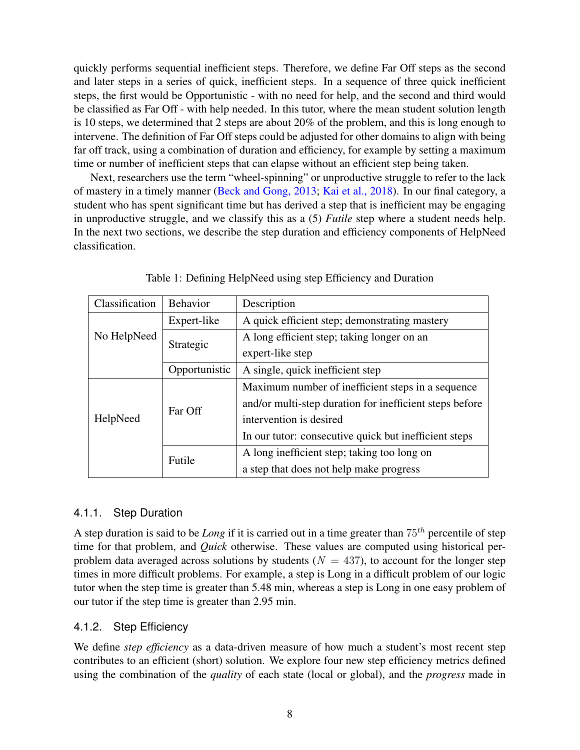quickly performs sequential inefficient steps. Therefore, we define Far Off steps as the second and later steps in a series of quick, inefficient steps. In a sequence of three quick inefficient steps, the first would be Opportunistic - with no need for help, and the second and third would be classified as Far Off - with help needed. In this tutor, where the mean student solution length is 10 steps, we determined that 2 steps are about 20% of the problem, and this is long enough to intervene. The definition of Far Off steps could be adjusted for other domains to align with being far off track, using a combination of duration and efficiency, for example by setting a maximum time or number of inefficient steps that can elapse without an efficient step being taken.

Next, researchers use the term "wheel-spinning" or unproductive struggle to refer to the lack of mastery in a timely manner [\(Beck and Gong, 2013;](#page-29-7) [Kai et al., 2018\)](#page-30-6). In our final category, a student who has spent significant time but has derived a step that is inefficient may be engaging in unproductive struggle, and we classify this as a (5) *Futile* step where a student needs help. In the next two sections, we describe the step duration and efficiency components of HelpNeed classification.

<span id="page-7-1"></span>

| Classification | <b>Behavior</b> | Description                                             |  |  |
|----------------|-----------------|---------------------------------------------------------|--|--|
|                | Expert-like     | A quick efficient step; demonstrating mastery           |  |  |
| No HelpNeed    | Strategic       | A long efficient step; taking longer on an              |  |  |
|                |                 | expert-like step                                        |  |  |
|                | Opportunistic   | A single, quick inefficient step                        |  |  |
|                |                 | Maximum number of inefficient steps in a sequence       |  |  |
|                | Far Off         | and/or multi-step duration for inefficient steps before |  |  |
| HelpNeed       |                 | intervention is desired                                 |  |  |
|                |                 | In our tutor: consecutive quick but inefficient steps   |  |  |
|                | Futile          | A long inefficient step; taking too long on             |  |  |
|                |                 | a step that does not help make progress                 |  |  |

Table 1: Defining HelpNeed using step Efficiency and Duration

## <span id="page-7-2"></span>4.1.1. Step Duration

A step duration is said to be *Long* if it is carried out in a time greater than  $75<sup>th</sup>$  percentile of step time for that problem, and *Quick* otherwise. These values are computed using historical perproblem data averaged across solutions by students ( $N = 437$ ), to account for the longer step times in more difficult problems. For example, a step is Long in a difficult problem of our logic tutor when the step time is greater than 5.48 min, whereas a step is Long in one easy problem of our tutor if the step time is greater than 2.95 min.

## <span id="page-7-0"></span>4.1.2. Step Efficiency

We define *step efficiency* as a data-driven measure of how much a student's most recent step contributes to an efficient (short) solution. We explore four new step efficiency metrics defined using the combination of the *quality* of each state (local or global), and the *progress* made in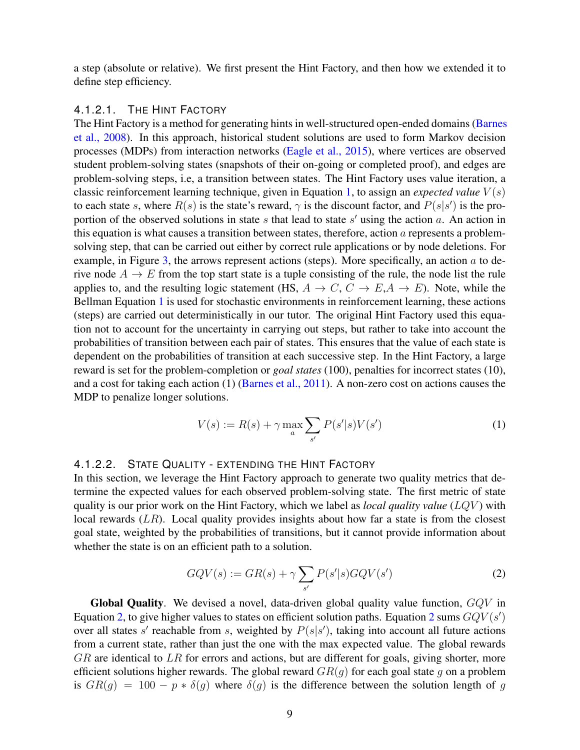a step (absolute or relative). We first present the Hint Factory, and then how we extended it to define step efficiency.

#### 4.1.2.1. THE HINT FACTORY

The Hint Factory is a method for generating hints in well-structured open-ended domains [\(Barnes](#page-29-11) [et al., 2008\)](#page-29-11). In this approach, historical student solutions are used to form Markov decision processes (MDPs) from interaction networks [\(Eagle et al., 2015\)](#page-30-12), where vertices are observed student problem-solving states (snapshots of their on-going or completed proof), and edges are problem-solving steps, i.e, a transition between states. The Hint Factory uses value iteration, a classic reinforcement learning technique, given in Equation [1,](#page-8-0) to assign an *expected value*  $V(s)$ to each state s, where  $R(s)$  is the state's reward,  $\gamma$  is the discount factor, and  $P(s|s')$  is the proportion of the observed solutions in state  $s$  that lead to state  $s'$  using the action  $a$ . An action in this equation is what causes a transition between states, therefore, action  $\alpha$  represents a problemsolving step, that can be carried out either by correct rule applications or by node deletions. For example, in Figure [3,](#page-10-0) the arrows represent actions (steps). More specifically, an action  $a$  to derive node  $A \rightarrow E$  from the top start state is a tuple consisting of the rule, the node list the rule applies to, and the resulting logic statement (HS,  $A \rightarrow C$ ,  $C \rightarrow E$ ,  $A \rightarrow E$ ). Note, while the Bellman Equation [1](#page-8-0) is used for stochastic environments in reinforcement learning, these actions (steps) are carried out deterministically in our tutor. The original Hint Factory used this equation not to account for the uncertainty in carrying out steps, but rather to take into account the probabilities of transition between each pair of states. This ensures that the value of each state is dependent on the probabilities of transition at each successive step. In the Hint Factory, a large reward is set for the problem-completion or *goal states* (100), penalties for incorrect states (10), and a cost for taking each action (1) [\(Barnes et al., 2011\)](#page-29-4). A non-zero cost on actions causes the MDP to penalize longer solutions.

$$
V(s) := R(s) + \gamma \max_{a} \sum_{s'} P(s'|s) V(s')
$$
 (1)

#### <span id="page-8-0"></span>4.1.2.2. STATE QUALITY - EXTENDING THE HINT FACTORY

In this section, we leverage the Hint Factory approach to generate two quality metrics that determine the expected values for each observed problem-solving state. The first metric of state quality is our prior work on the Hint Factory, which we label as *local quality value* (LQV ) with local rewards  $(LR)$ . Local quality provides insights about how far a state is from the closest goal state, weighted by the probabilities of transitions, but it cannot provide information about whether the state is on an efficient path to a solution.

$$
GQV(s) := GR(s) + \gamma \sum_{s'} P(s'|s)GQV(s')
$$
\n(2)

<span id="page-8-1"></span>**Global Quality.** We devised a novel, data-driven global quality value function,  $GQV$  in Equation [2,](#page-8-1) to give higher values to states on efficient solution paths. Equation [2](#page-8-1) sums  $GQV(s')$ over all states s' reachable from s, weighted by  $P(s|s')$ , taking into account all future actions from a current state, rather than just the one with the max expected value. The global rewards  $GR$  are identical to  $LR$  for errors and actions, but are different for goals, giving shorter, more efficient solutions higher rewards. The global reward  $GR(g)$  for each goal state g on a problem is  $GR(g) = 100 - p * \delta(g)$  where  $\delta(g)$  is the difference between the solution length of g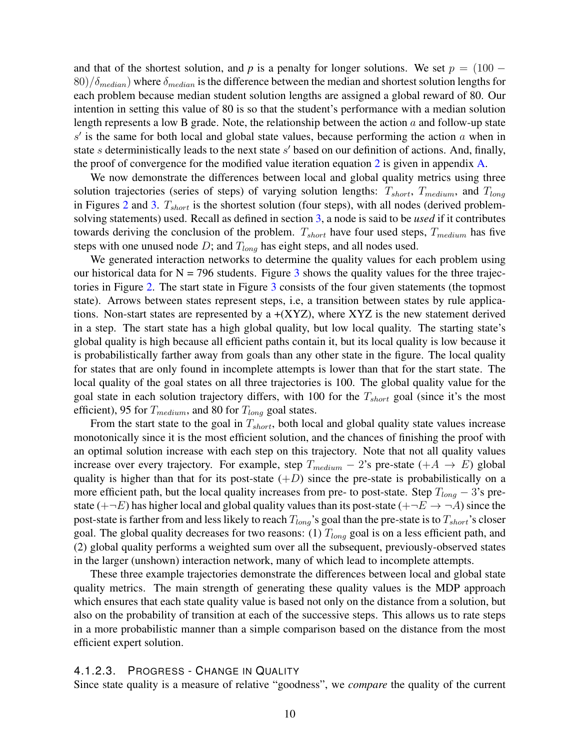and that of the shortest solution, and *p* is a penalty for longer solutions. We set  $p = (100 80)/\delta_{median}$ ) where  $\delta_{median}$  is the difference between the median and shortest solution lengths for each problem because median student solution lengths are assigned a global reward of 80. Our intention in setting this value of 80 is so that the student's performance with a median solution length represents a low B grade. Note, the relationship between the action  $a$  and follow-up state  $s'$  is the same for both local and global state values, because performing the action  $a$  when in state  $s$  deterministically leads to the next state  $s'$  based on our definition of actions. And, finally, the proof of convergence for the modified value iteration equation [2](#page-8-1) is given in appendix [A.](#page-34-0)

We now demonstrate the differences between local and global quality metrics using three solution trajectories (series of steps) of varying solution lengths:  $T_{short}$ ,  $T_{medium}$ , and  $T_{long}$ in Figures [2](#page-10-0) and [3.](#page-10-0)  $T_{short}$  is the shortest solution (four steps), with all nodes (derived problemsolving statements) used. Recall as defined in section [3,](#page-4-1) a node is said to be *used* if it contributes towards deriving the conclusion of the problem.  $T_{short}$  have four used steps,  $T_{medium}$  has five steps with one unused node  $D$ ; and  $T_{long}$  has eight steps, and all nodes used.

We generated interaction networks to determine the quality values for each problem using our historical data for  $N = 796$  students. Figure [3](#page-10-0) shows the quality values for the three trajectories in Figure [2.](#page-10-0) The start state in Figure [3](#page-10-0) consists of the four given statements (the topmost state). Arrows between states represent steps, i.e, a transition between states by rule applications. Non-start states are represented by a  $+(XYZ)$ , where  $XYZ$  is the new statement derived in a step. The start state has a high global quality, but low local quality. The starting state's global quality is high because all efficient paths contain it, but its local quality is low because it is probabilistically farther away from goals than any other state in the figure. The local quality for states that are only found in incomplete attempts is lower than that for the start state. The local quality of the goal states on all three trajectories is 100. The global quality value for the goal state in each solution trajectory differs, with 100 for the  $T_{short}$  goal (since it's the most efficient), 95 for  $T_{medium}$ , and 80 for  $T_{long}$  goal states.

From the start state to the goal in  $T_{short}$ , both local and global quality state values increase monotonically since it is the most efficient solution, and the chances of finishing the proof with an optimal solution increase with each step on this trajectory. Note that not all quality values increase over every trajectory. For example, step  $T_{medium} - 2$ 's pre-state (+A  $\rightarrow E$ ) global quality is higher than that for its post-state  $(+D)$  since the pre-state is probabilistically on a more efficient path, but the local quality increases from pre- to post-state. Step  $T_{long} - 3$ 's prestate ( $+\neg E$ ) has higher local and global quality values than its post-state ( $+\neg E \rightarrow \neg A$ ) since the post-state is farther from and less likely to reach  $T_{long}$ 's goal than the pre-state is to  $T_{short}$ 's closer goal. The global quality decreases for two reasons: (1)  $T_{long}$  goal is on a less efficient path, and (2) global quality performs a weighted sum over all the subsequent, previously-observed states in the larger (unshown) interaction network, many of which lead to incomplete attempts.

These three example trajectories demonstrate the differences between local and global state quality metrics. The main strength of generating these quality values is the MDP approach which ensures that each state quality value is based not only on the distance from a solution, but also on the probability of transition at each of the successive steps. This allows us to rate steps in a more probabilistic manner than a simple comparison based on the distance from the most efficient expert solution.

#### 4.1.2.3. PROGRESS - CHANGE IN QUALITY

Since state quality is a measure of relative "goodness", we *compare* the quality of the current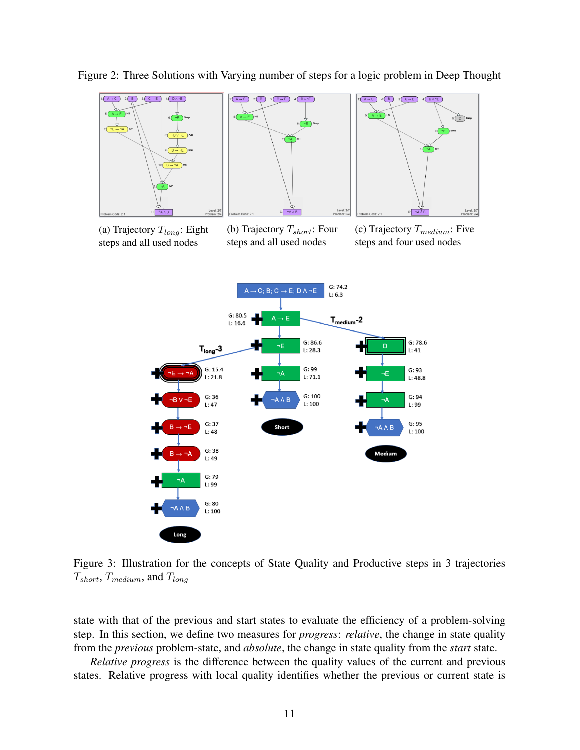

<span id="page-10-0"></span>Figure 2: Three Solutions with Varying number of steps for a logic problem in Deep Thought

(a) Trajectory  $T_{long}$ : Eight steps and all used nodes

(b) Trajectory  $T_{short}$ : Four steps and all used nodes

(c) Trajectory  $T_{medium}$ : Five steps and four used nodes



Figure 3: Illustration for the concepts of State Quality and Productive steps in 3 trajectories  $T_{short}$ ,  $T_{medium}$ , and  $T_{long}$ 

state with that of the previous and start states to evaluate the efficiency of a problem-solving step. In this section, we define two measures for *progress*: *relative*, the change in state quality from the *previous* problem-state, and *absolute*, the change in state quality from the *start* state.

*Relative progress* is the difference between the quality values of the current and previous states. Relative progress with local quality identifies whether the previous or current state is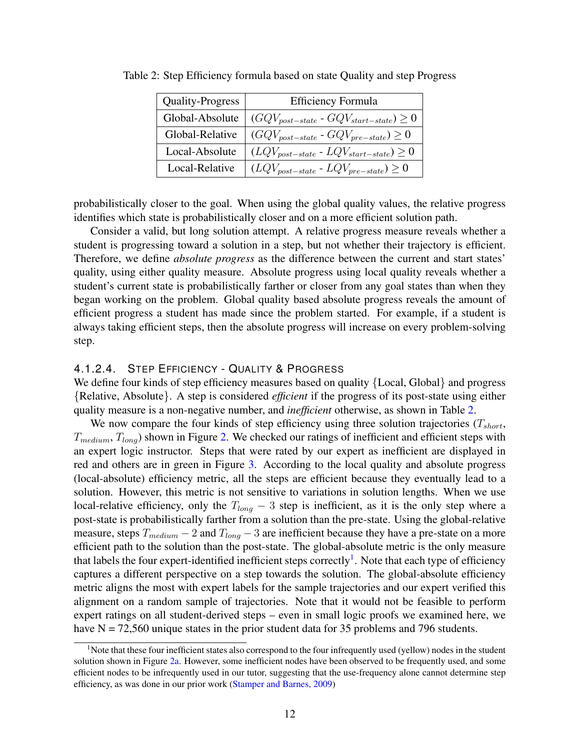| Quality-Progress | <b>Efficiency Formula</b>                       |
|------------------|-------------------------------------------------|
| Global-Absolute  | $(GQV_{post-state} - GQV_{start-state}) \geq 0$ |
| Global-Relative  | $(GQV_{post-state} - GQV_{pre-state}) \geq 0$   |
| Local-Absolute   | $(LQV_{post-state} - LQV_{start-state}) \geq 0$ |
| Local-Relative   | $(LQV_{post-state} - LQV_{pre-state}) \geq 0$   |

<span id="page-11-0"></span>Table 2: Step Efficiency formula based on state Quality and step Progress

probabilistically closer to the goal. When using the global quality values, the relative progress identifies which state is probabilistically closer and on a more efficient solution path.

Consider a valid, but long solution attempt. A relative progress measure reveals whether a student is progressing toward a solution in a step, but not whether their trajectory is efficient. Therefore, we define *absolute progress* as the difference between the current and start states' quality, using either quality measure. Absolute progress using local quality reveals whether a student's current state is probabilistically farther or closer from any goal states than when they began working on the problem. Global quality based absolute progress reveals the amount of efficient progress a student has made since the problem started. For example, if a student is always taking efficient steps, then the absolute progress will increase on every problem-solving step.

#### 4.1.2.4. STEP EFFICIENCY - QUALITY & PROGRESS

We define four kinds of step efficiency measures based on quality {Local, Global} and progress {Relative, Absolute}. A step is considered *efficient* if the progress of its post-state using either quality measure is a non-negative number, and *inefficient* otherwise, as shown in Table [2.](#page-11-0)

We now compare the four kinds of step efficiency using three solution trajectories  $(T_{short},$  $T_{medium}$ ,  $T_{long}$ ) shown in Figure [2.](#page-10-0) We checked our ratings of inefficient and efficient steps with an expert logic instructor. Steps that were rated by our expert as inefficient are displayed in red and others are in green in Figure [3.](#page-10-0) According to the local quality and absolute progress (local-absolute) efficiency metric, all the steps are efficient because they eventually lead to a solution. However, this metric is not sensitive to variations in solution lengths. When we use local-relative efficiency, only the  $T_{long}$  – 3 step is inefficient, as it is the only step where a post-state is probabilistically farther from a solution than the pre-state. Using the global-relative measure, steps  $T_{medium} - 2$  and  $T_{long} - 3$  are inefficient because they have a pre-state on a more efficient path to the solution than the post-state. The global-absolute metric is the only measure that labels the four expert-identified inefficient steps correctly<sup>[1](#page-11-1)</sup>. Note that each type of efficiency captures a different perspective on a step towards the solution. The global-absolute efficiency metric aligns the most with expert labels for the sample trajectories and our expert verified this alignment on a random sample of trajectories. Note that it would not be feasible to perform expert ratings on all student-derived steps – even in small logic proofs we examined here, we have  $N = 72,560$  unique states in the prior student data for 35 problems and 796 students.

<span id="page-11-2"></span><span id="page-11-1"></span><sup>&</sup>lt;sup>1</sup>Note that these four inefficient states also correspond to the four infrequently used (yellow) nodes in the student solution shown in Figure [2a.](#page-10-0) However, some inefficient nodes have been observed to be frequently used, and some efficient nodes to be infrequently used in our tutor, suggesting that the use-frequency alone cannot determine step efficiency, as was done in our prior work [\(Stamper and Barnes, 2009\)](#page-32-12)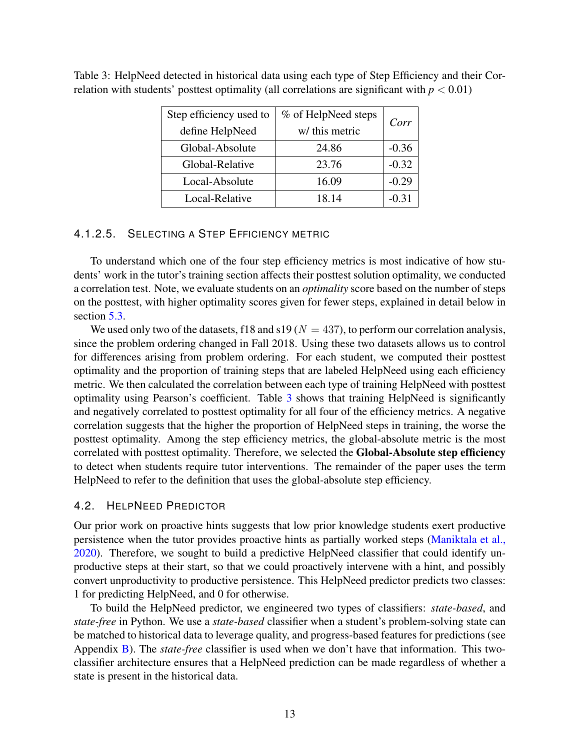| Step efficiency used to | % of HelpNeed steps | Corr    |
|-------------------------|---------------------|---------|
| define HelpNeed         | w/ this metric      |         |
| Global-Absolute         | 24.86               | $-0.36$ |
| Global-Relative         | 23.76               | $-0.32$ |
| Local-Absolute          | 16.09               | $-0.29$ |
| Local-Relative          | 18.14               | $-0.31$ |

<span id="page-12-0"></span>Table 3: HelpNeed detected in historical data using each type of Step Efficiency and their Correlation with students' posttest optimality (all correlations are significant with  $p < 0.01$ )

## 4.1.2.5. SELECTING A STEP EFFICIENCY METRIC

To understand which one of the four step efficiency metrics is most indicative of how students' work in the tutor's training section affects their posttest solution optimality, we conducted a correlation test. Note, we evaluate students on an *optimality* score based on the number of steps on the posttest, with higher optimality scores given for fewer steps, explained in detail below in section [5.3.](#page-15-0)

We used only two of the datasets, f18 and s19 ( $N = 437$ ), to perform our correlation analysis, since the problem ordering changed in Fall 2018. Using these two datasets allows us to control for differences arising from problem ordering. For each student, we computed their posttest optimality and the proportion of training steps that are labeled HelpNeed using each efficiency metric. We then calculated the correlation between each type of training HelpNeed with posttest optimality using Pearson's coefficient. Table [3](#page-12-0) shows that training HelpNeed is significantly and negatively correlated to posttest optimality for all four of the efficiency metrics. A negative correlation suggests that the higher the proportion of HelpNeed steps in training, the worse the posttest optimality. Among the step efficiency metrics, the global-absolute metric is the most correlated with posttest optimality. Therefore, we selected the Global-Absolute step efficiency to detect when students require tutor interventions. The remainder of the paper uses the term HelpNeed to refer to the definition that uses the global-absolute step efficiency.

#### <span id="page-12-1"></span>4.2. HELPNEED PREDICTOR

Our prior work on proactive hints suggests that low prior knowledge students exert productive persistence when the tutor provides proactive hints as partially worked steps [\(Maniktala et al.,](#page-31-7) [2020\)](#page-31-7). Therefore, we sought to build a predictive HelpNeed classifier that could identify unproductive steps at their start, so that we could proactively intervene with a hint, and possibly convert unproductivity to productive persistence. This HelpNeed predictor predicts two classes: 1 for predicting HelpNeed, and 0 for otherwise.

To build the HelpNeed predictor, we engineered two types of classifiers: *state-based*, and *state-free* in Python. We use a *state-based* classifier when a student's problem-solving state can be matched to historical data to leverage quality, and progress-based features for predictions (see Appendix [B\)](#page-35-0). The *state-free* classifier is used when we don't have that information. This twoclassifier architecture ensures that a HelpNeed prediction can be made regardless of whether a state is present in the historical data.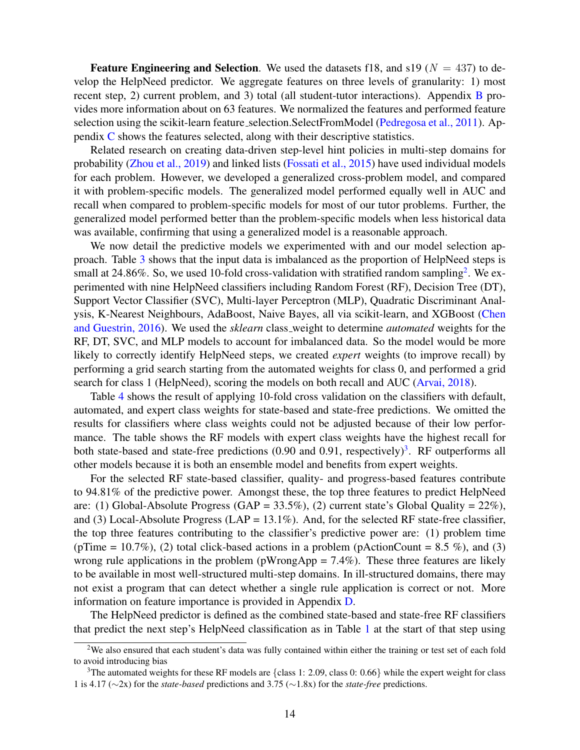**Feature Engineering and Selection.** We used the datasets f18, and s19 ( $N = 437$ ) to develop the HelpNeed predictor. We aggregate features on three levels of granularity: 1) most recent step, 2) current problem, and 3) total (all student-tutor interactions). Appendix [B](#page-35-0) provides more information about on 63 features. We normalized the features and performed feature selection using the scikit-learn feature selection. SelectFromModel [\(Pedregosa et al., 2011\)](#page-31-14). Appendix [C](#page-37-0) shows the features selected, along with their descriptive statistics.

Related research on creating data-driven step-level hint policies in multi-step domains for probability [\(Zhou et al., 2019\)](#page-33-0) and linked lists [\(Fossati et al., 2015\)](#page-30-2) have used individual models for each problem. However, we developed a generalized cross-problem model, and compared it with problem-specific models. The generalized model performed equally well in AUC and recall when compared to problem-specific models for most of our tutor problems. Further, the generalized model performed better than the problem-specific models when less historical data was available, confirming that using a generalized model is a reasonable approach.

We now detail the predictive models we experimented with and our model selection approach. Table [3](#page-12-0) shows that the input data is imbalanced as the proportion of HelpNeed steps is small at [2](#page-13-0)4.86%. So, we used 10-fold cross-validation with stratified random sampling<sup>2</sup>. We experimented with nine HelpNeed classifiers including Random Forest (RF), Decision Tree (DT), Support Vector Classifier (SVC), Multi-layer Perceptron (MLP), Quadratic Discriminant Analysis, K-Nearest Neighbours, AdaBoost, Naive Bayes, all via scikit-learn, and XGBoost [\(Chen](#page-30-13) [and Guestrin, 2016\)](#page-30-13). We used the *sklearn* class weight to determine *automated* weights for the RF, DT, SVC, and MLP models to account for imbalanced data. So the model would be more likely to correctly identify HelpNeed steps, we created *expert* weights (to improve recall) by performing a grid search starting from the automated weights for class 0, and performed a grid search for class 1 (HelpNeed), scoring the models on both recall and AUC [\(Arvai, 2018\)](#page-29-12).

Table [4](#page-14-0) shows the result of applying 10-fold cross validation on the classifiers with default, automated, and expert class weights for state-based and state-free predictions. We omitted the results for classifiers where class weights could not be adjusted because of their low performance. The table shows the RF models with expert class weights have the highest recall for both state-based and state-free predictions  $(0.90$  and  $0.91$ , respectively)<sup>[3](#page-13-1)</sup>. RF outperforms all other models because it is both an ensemble model and benefits from expert weights.

For the selected RF state-based classifier, quality- and progress-based features contribute to 94.81% of the predictive power. Amongst these, the top three features to predict HelpNeed are: (1) Global-Absolute Progress  $(GAP = 33.5\%)$ , (2) current state's Global Quality = 22%), and (3) Local-Absolute Progress (LAP =  $13.1\%$ ). And, for the selected RF state-free classifier, the top three features contributing to the classifier's predictive power are: (1) problem time (pTime = 10.7%), (2) total click-based actions in a problem (pActionCount = 8.5 %), and (3) wrong rule applications in the problem ( $pW$ rongApp = 7.4%). These three features are likely to be available in most well-structured multi-step domains. In ill-structured domains, there may not exist a program that can detect whether a single rule application is correct or not. More information on feature importance is provided in Appendix [D.](#page-39-0)

The HelpNeed predictor is defined as the combined state-based and state-free RF classifiers that predict the next step's HelpNeed classification as in Table [1](#page-7-1) at the start of that step using

<span id="page-13-0"></span><sup>&</sup>lt;sup>2</sup>We also ensured that each student's data was fully contained within either the training or test set of each fold to avoid introducing bias

<span id="page-13-1"></span><sup>&</sup>lt;sup>3</sup>The automated weights for these RF models are {class 1: 2.09, class 0: 0.66} while the expert weight for class 1 is 4.17 (∼2x) for the *state-based* predictions and 3.75 (∼1.8x) for the *state-free* predictions.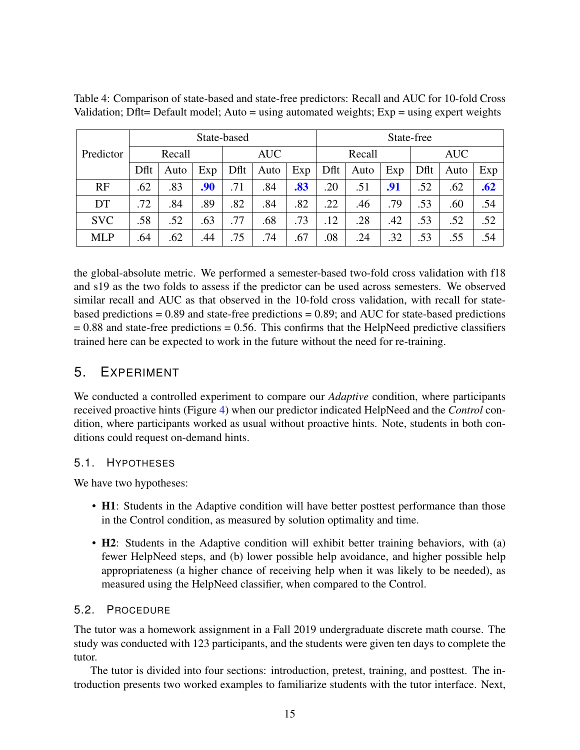|            | State-based |                      |     |      |        | State-free |      |            |     |      |      |     |
|------------|-------------|----------------------|-----|------|--------|------------|------|------------|-----|------|------|-----|
| Predictor  |             | <b>AUC</b><br>Recall |     |      | Recall |            |      | <b>AUC</b> |     |      |      |     |
|            | Dflt        | Auto                 | Exp | Dflt | Auto   | Exp        | Dflt | Auto       | Exp | Dflt | Auto | Exp |
| RF         | .62         | .83                  | .90 | .71  | .84    | .83        | .20  | .51        | .91 | .52  | .62  | .62 |
| DT         | .72         | .84                  | .89 | .82  | .84    | .82        | .22  | .46        | .79 | .53  | .60  | .54 |
| <b>SVC</b> | .58         | .52                  | .63 | .77  | .68    | .73        | .12  | .28        | .42 | .53  | .52  | .52 |
| <b>MLP</b> | .64         | .62                  | .44 | .75  | .74    | .67        | .08  | .24        | .32 | .53  | .55  | .54 |

<span id="page-14-0"></span>Table 4: Comparison of state-based and state-free predictors: Recall and AUC for 10-fold Cross Validation; Dflt= Default model; Auto = using automated weights;  $Exp =$  using expert weights

the global-absolute metric. We performed a semester-based two-fold cross validation with f18 and s19 as the two folds to assess if the predictor can be used across semesters. We observed similar recall and AUC as that observed in the 10-fold cross validation, with recall for statebased predictions  $= 0.89$  and state-free predictions  $= 0.89$ ; and AUC for state-based predictions  $= 0.88$  and state-free predictions  $= 0.56$ . This confirms that the HelpNeed predictive classifiers trained here can be expected to work in the future without the need for re-training.

## 5. EXPERIMENT

We conducted a controlled experiment to compare our *Adaptive* condition, where participants received proactive hints (Figure [4\)](#page-16-0) when our predictor indicated HelpNeed and the *Control* condition, where participants worked as usual without proactive hints. Note, students in both conditions could request on-demand hints.

## 5.1. HYPOTHESES

We have two hypotheses:

- H1: Students in the Adaptive condition will have better posttest performance than those in the Control condition, as measured by solution optimality and time.
- H2: Students in the Adaptive condition will exhibit better training behaviors, with (a) fewer HelpNeed steps, and (b) lower possible help avoidance, and higher possible help appropriateness (a higher chance of receiving help when it was likely to be needed), as measured using the HelpNeed classifier, when compared to the Control.

## <span id="page-14-1"></span>5.2. PROCEDURE

The tutor was a homework assignment in a Fall 2019 undergraduate discrete math course. The study was conducted with 123 participants, and the students were given ten days to complete the tutor.

The tutor is divided into four sections: introduction, pretest, training, and posttest. The introduction presents two worked examples to familiarize students with the tutor interface. Next,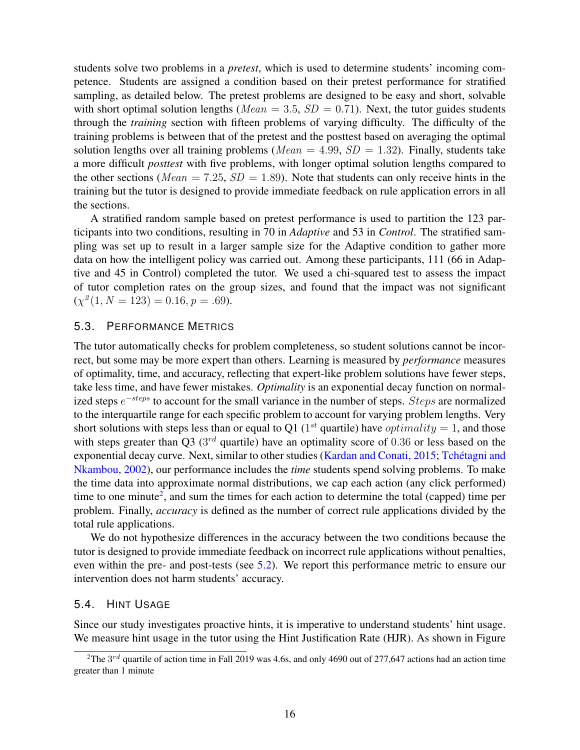students solve two problems in a *pretest*, which is used to determine students' incoming competence. Students are assigned a condition based on their pretest performance for stratified sampling, as detailed below. The pretest problems are designed to be easy and short, solvable with short optimal solution lengths ( $Mean = 3.5$ ,  $SD = 0.71$ ). Next, the tutor guides students through the *training* section with fifteen problems of varying difficulty. The difficulty of the training problems is between that of the pretest and the posttest based on averaging the optimal solution lengths over all training problems (*Mean* = 4.99,  $SD = 1.32$ ). Finally, students take a more difficult *posttest* with five problems, with longer optimal solution lengths compared to the other sections (*Mean* = 7.25,  $SD = 1.89$ ). Note that students can only receive hints in the training but the tutor is designed to provide immediate feedback on rule application errors in all the sections.

A stratified random sample based on pretest performance is used to partition the 123 participants into two conditions, resulting in 70 in *Adaptive* and 53 in *Control*. The stratified sampling was set up to result in a larger sample size for the Adaptive condition to gather more data on how the intelligent policy was carried out. Among these participants, 111 (66 in Adaptive and 45 in Control) completed the tutor. We used a chi-squared test to assess the impact of tutor completion rates on the group sizes, and found that the impact was not significant  $(\chi^2(1, N = 123) = 0.16, p = .69).$ 

#### <span id="page-15-0"></span>5.3. PERFORMANCE METRICS

The tutor automatically checks for problem completeness, so student solutions cannot be incorrect, but some may be more expert than others. Learning is measured by *performance* measures of optimality, time, and accuracy, reflecting that expert-like problem solutions have fewer steps, take less time, and have fewer mistakes. *Optimality* is an exponential decay function on normalized steps  $e^{-steps}$  to account for the small variance in the number of steps. Steps are normalized to the interquartile range for each specific problem to account for varying problem lengths. Very short solutions with steps less than or equal to Q1 (1<sup>st</sup> quartile) have *optimality* = 1, and those with steps greater than Q3 ( $3^{rd}$  quartile) have an optimality score of 0.36 or less based on the exponential decay curve. Next, similar to other studies [\(Kardan and Conati, 2015;](#page-30-1) Tchétagni and [Nkambou, 2002\)](#page-32-13), our performance includes the *time* students spend solving problems. To make the time data into approximate normal distributions, we cap each action (any click performed) time to one minute<sup>[2](#page-15-1)</sup>, and sum the times for each action to determine the total (capped) time per problem. Finally, *accuracy* is defined as the number of correct rule applications divided by the total rule applications.

We do not hypothesize differences in the accuracy between the two conditions because the tutor is designed to provide immediate feedback on incorrect rule applications without penalties, even within the pre- and post-tests (see [5.2\)](#page-14-1). We report this performance metric to ensure our intervention does not harm students' accuracy.

#### 5.4. HINT USAGE

Since our study investigates proactive hints, it is imperative to understand students' hint usage. We measure hint usage in the tutor using the Hint Justification Rate (HJR). As shown in Figure

<span id="page-15-1"></span><sup>&</sup>lt;sup>2</sup>The  $3^{rd}$  quartile of action time in Fall 2019 was 4.6s, and only 4690 out of 277,647 actions had an action time greater than 1 minute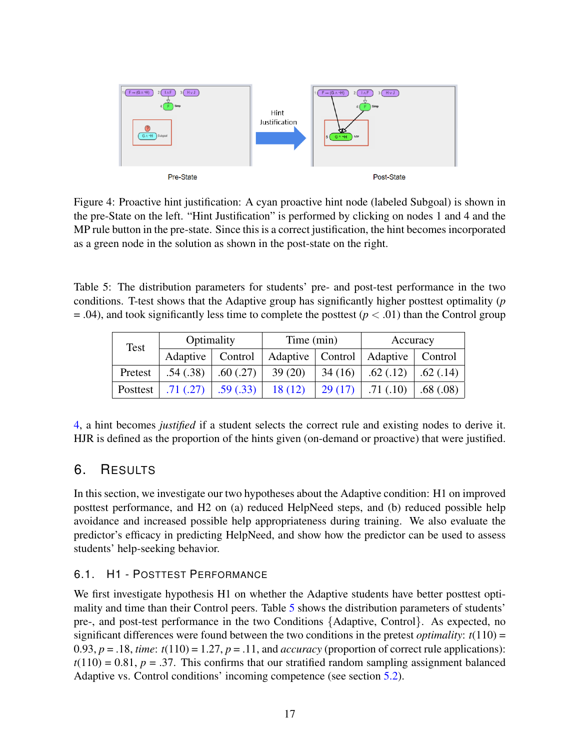<span id="page-16-0"></span>

Figure 4: Proactive hint justification: A cyan proactive hint node (labeled Subgoal) is shown in the pre-State on the left. "Hint Justification" is performed by clicking on nodes 1 and 4 and the MP rule button in the pre-state. Since this is a correct justification, the hint becomes incorporated as a green node in the solution as shown in the post-state on the right.

<span id="page-16-1"></span>Table 5: The distribution parameters for students' pre- and post-test performance in the two conditions. T-test shows that the Adaptive group has significantly higher posttest optimality (*p*  $= .04$ ), and took significantly less time to complete the posttest ( $p < .01$ ) than the Control group

| Test     | Optimality         |                       | Time (min) |        | Accuracy                                |          |
|----------|--------------------|-----------------------|------------|--------|-----------------------------------------|----------|
|          | Adaptive   Control |                       |            |        | Adaptive   Control   Adaptive   Control |          |
| Pretest  | .54(.38)           | .60(0.27)             | 39(20)     | 34(16) | .62(.12)                                | .62(.14) |
| Posttest |                    | $.71(.27)$ $.59(.33)$ | 18(12)     | 29(17) | .71(.10)                                | .68(.08) |

[4,](#page-16-0) a hint becomes *justified* if a student selects the correct rule and existing nodes to derive it. HJR is defined as the proportion of the hints given (on-demand or proactive) that were justified.

## 6. RESULTS

In this section, we investigate our two hypotheses about the Adaptive condition: H1 on improved posttest performance, and H2 on (a) reduced HelpNeed steps, and (b) reduced possible help avoidance and increased possible help appropriateness during training. We also evaluate the predictor's efficacy in predicting HelpNeed, and show how the predictor can be used to assess students' help-seeking behavior.

## <span id="page-16-2"></span>6.1. H1 - POSTTEST PERFORMANCE

We first investigate hypothesis H<sub>1</sub> on whether the Adaptive students have better posttest optimality and time than their Control peers. Table [5](#page-16-1) shows the distribution parameters of students' pre-, and post-test performance in the two Conditions {Adaptive, Control}. As expected, no significant differences were found between the two conditions in the pretest *optimality*: *t*(110) = 0.93,  $p = 0.18$ , *time*:  $t(110) = 1.27$ ,  $p = 0.11$ , and *accuracy* (proportion of correct rule applications):  $t(110) = 0.81$ ,  $p = .37$ . This confirms that our stratified random sampling assignment balanced Adaptive vs. Control conditions' incoming competence (see section [5.2\)](#page-14-1).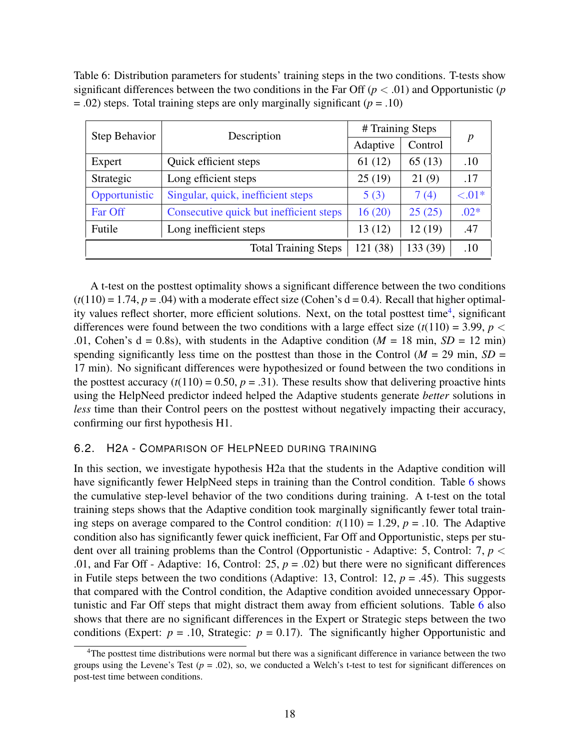<span id="page-17-1"></span>Table 6: Distribution parameters for students' training steps in the two conditions. T-tests show significant differences between the two conditions in the Far Off  $(p < .01)$  and Opportunistic  $(p$  $= .02$ ) steps. Total training steps are only marginally significant ( $p = .10$ )

| Step Behavior | Description                             | # Training Steps |          |           |
|---------------|-----------------------------------------|------------------|----------|-----------|
|               |                                         | Adaptive         | Control  | p         |
| Expert        | Quick efficient steps                   | 61(12)           | 65(13)   | .10       |
| Strategic     | Long efficient steps                    | 25(19)           | 21(9)    | .17       |
| Opportunistic | Singular, quick, inefficient steps      | 5(3)             | 7(4)     | $< 0.01*$ |
| Far Off       | Consecutive quick but inefficient steps | 16(20)           | 25(25)   | $.02*$    |
| Futile        | Long inefficient steps                  | 13(12)           | 12(19)   | .47       |
|               | <b>Total Training Steps</b>             | 121 (38)         | 133 (39) | .10       |

A t-test on the posttest optimality shows a significant difference between the two conditions  $(t(110) = 1.74, p = .04)$  with a moderate effect size (Cohen's d = 0.4). Recall that higher optimal-ity values reflect shorter, more efficient solutions. Next, on the total posttest time<sup>[4](#page-17-0)</sup>, significant differences were found between the two conditions with a large effect size  $(t(110) = 3.99, p <$ .01, Cohen's  $d = 0.8$ s), with students in the Adaptive condition ( $M = 18$  min,  $SD = 12$  min) spending significantly less time on the posttest than those in the Control ( $M = 29$  min,  $SD =$ 17 min). No significant differences were hypothesized or found between the two conditions in the posttest accuracy  $(t(110) = 0.50, p = .31)$ . These results show that delivering proactive hints using the HelpNeed predictor indeed helped the Adaptive students generate *better* solutions in *less* time than their Control peers on the posttest without negatively impacting their accuracy, confirming our first hypothesis H1.

#### <span id="page-17-2"></span>6.2. H2A - COMPARISON OF HELPNEED DURING TRAINING

In this section, we investigate hypothesis H2a that the students in the Adaptive condition will have significantly fewer HelpNeed steps in training than the Control condition. Table [6](#page-17-1) shows the cumulative step-level behavior of the two conditions during training. A t-test on the total training steps shows that the Adaptive condition took marginally significantly fewer total training steps on average compared to the Control condition:  $t(110) = 1.29$ ,  $p = .10$ . The Adaptive condition also has significantly fewer quick inefficient, Far Off and Opportunistic, steps per student over all training problems than the Control (Opportunistic - Adaptive: 5, Control: 7, *p* < .01, and Far Off - Adaptive: 16, Control: 25,  $p = .02$ ) but there were no significant differences in Futile steps between the two conditions (Adaptive: 13, Control: 12,  $p = .45$ ). This suggests that compared with the Control condition, the Adaptive condition avoided unnecessary Opportunistic and Far Off steps that might distract them away from efficient solutions. Table [6](#page-17-1) also shows that there are no significant differences in the Expert or Strategic steps between the two conditions (Expert:  $p = .10$ , Strategic:  $p = 0.17$ ). The significantly higher Opportunistic and

<span id="page-17-0"></span><sup>4</sup>The posttest time distributions were normal but there was a significant difference in variance between the two groups using the Levene's Test  $(p = .02)$ , so, we conducted a Welch's t-test to test for significant differences on post-test time between conditions.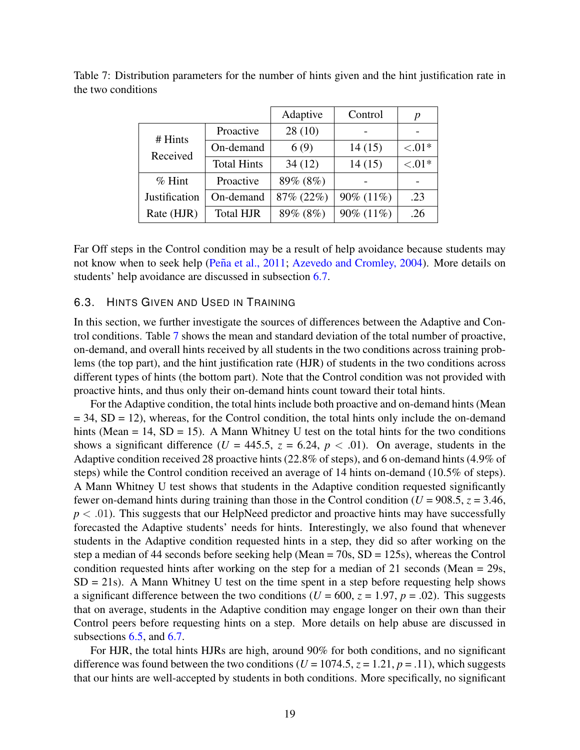|               |                    | Adaptive  | Control      | р         |
|---------------|--------------------|-----------|--------------|-----------|
| # Hints       | Proactive          | 28(10)    |              |           |
| Received      | On-demand          | 6(9)      | 14(15)       | ${<}.01*$ |
|               | <b>Total Hints</b> | 34(12)    | 14(15)       | ${<}.01*$ |
| $%$ Hint      | Proactive          | 89% (8%)  |              |           |
| Justification | On-demand          | 87% (22%) | 90% $(11\%)$ | .23       |
| Rate (HJR)    | <b>Total HJR</b>   | 89% (8%)  | 90% (11%)    | .26       |

<span id="page-18-0"></span>Table 7: Distribution parameters for the number of hints given and the hint justification rate in the two conditions

Far Off steps in the Control condition may be a result of help avoidance because students may not know when to seek help (Peña et al., 2011; [Azevedo and Cromley, 2004\)](#page-29-13). More details on students' help avoidance are discussed in subsection [6.7.](#page-24-0)

#### <span id="page-18-1"></span>6.3. HINTS GIVEN AND USED IN TRAINING

In this section, we further investigate the sources of differences between the Adaptive and Control conditions. Table [7](#page-18-0) shows the mean and standard deviation of the total number of proactive, on-demand, and overall hints received by all students in the two conditions across training problems (the top part), and the hint justification rate (HJR) of students in the two conditions across different types of hints (the bottom part). Note that the Control condition was not provided with proactive hints, and thus only their on-demand hints count toward their total hints.

For the Adaptive condition, the total hints include both proactive and on-demand hints (Mean  $= 34$ , SD  $= 12$ ), whereas, for the Control condition, the total hints only include the on-demand hints (Mean  $= 14$ , SD  $= 15$ ). A Mann Whitney U test on the total hints for the two conditions shows a significant difference ( $U = 445.5$ ,  $z = 6.24$ ,  $p < .01$ ). On average, students in the Adaptive condition received 28 proactive hints (22.8% of steps), and 6 on-demand hints (4.9% of steps) while the Control condition received an average of 14 hints on-demand (10.5% of steps). A Mann Whitney U test shows that students in the Adaptive condition requested significantly fewer on-demand hints during training than those in the Control condition ( $U = 908.5$ ,  $z = 3.46$ ,  $p < .01$ ). This suggests that our HelpNeed predictor and proactive hints may have successfully forecasted the Adaptive students' needs for hints. Interestingly, we also found that whenever students in the Adaptive condition requested hints in a step, they did so after working on the step a median of 44 seconds before seeking help (Mean = 70s, SD = 125s), whereas the Control condition requested hints after working on the step for a median of 21 seconds (Mean = 29s,  $SD = 21s$ ). A Mann Whitney U test on the time spent in a step before requesting help shows a significant difference between the two conditions ( $U = 600$ ,  $z = 1.97$ ,  $p = .02$ ). This suggests that on average, students in the Adaptive condition may engage longer on their own than their Control peers before requesting hints on a step. More details on help abuse are discussed in subsections [6.5,](#page-20-0) and [6.7.](#page-24-0)

For HJR, the total hints HJRs are high, around 90% for both conditions, and no significant difference was found between the two conditions ( $U = 1074.5$ ,  $z = 1.21$ ,  $p = .11$ ), which suggests that our hints are well-accepted by students in both conditions. More specifically, no significant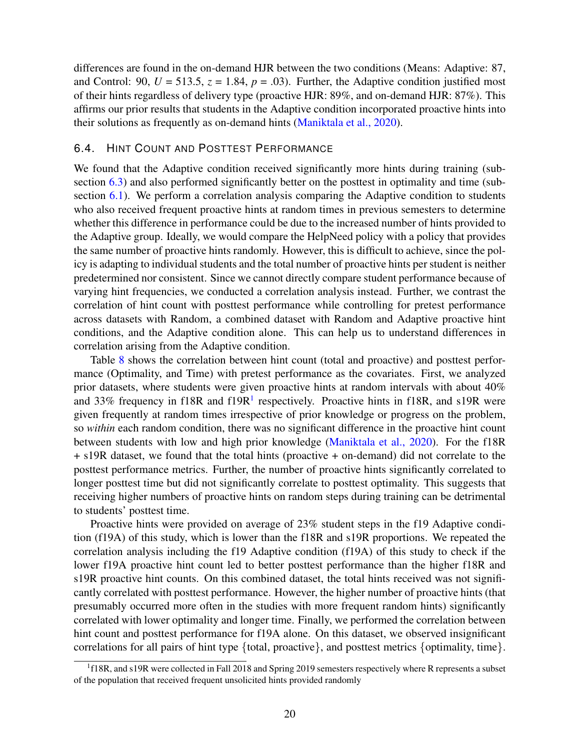differences are found in the on-demand HJR between the two conditions (Means: Adaptive: 87, and Control: 90,  $U = 513.5$ ,  $z = 1.84$ ,  $p = .03$ ). Further, the Adaptive condition justified most of their hints regardless of delivery type (proactive HJR: 89%, and on-demand HJR: 87%). This affirms our prior results that students in the Adaptive condition incorporated proactive hints into their solutions as frequently as on-demand hints [\(Maniktala et al., 2020\)](#page-31-7).

#### <span id="page-19-1"></span>6.4. HINT COUNT AND POSTTEST PERFORMANCE

We found that the Adaptive condition received significantly more hints during training (subsection  $(6.3)$  $(6.3)$  and also performed significantly better on the posttest in optimality and time (sub-section [6.1\)](#page-16-2). We perform a correlation analysis comparing the Adaptive condition to students who also received frequent proactive hints at random times in previous semesters to determine whether this difference in performance could be due to the increased number of hints provided to the Adaptive group. Ideally, we would compare the HelpNeed policy with a policy that provides the same number of proactive hints randomly. However, this is difficult to achieve, since the policy is adapting to individual students and the total number of proactive hints per student is neither predetermined nor consistent. Since we cannot directly compare student performance because of varying hint frequencies, we conducted a correlation analysis instead. Further, we contrast the correlation of hint count with posttest performance while controlling for pretest performance across datasets with Random, a combined dataset with Random and Adaptive proactive hint conditions, and the Adaptive condition alone. This can help us to understand differences in correlation arising from the Adaptive condition.

Table [8](#page-20-1) shows the correlation between hint count (total and proactive) and posttest performance (Optimality, and Time) with pretest performance as the covariates. First, we analyzed prior datasets, where students were given proactive hints at random intervals with about 40% and 33% frequency in f[1](#page-19-0)8R and f19R $<sup>1</sup>$  respectively. Proactive hints in f18R, and s19R were</sup> given frequently at random times irrespective of prior knowledge or progress on the problem, so *within* each random condition, there was no significant difference in the proactive hint count between students with low and high prior knowledge [\(Maniktala et al., 2020\)](#page-31-7). For the f18R + s19R dataset, we found that the total hints (proactive + on-demand) did not correlate to the posttest performance metrics. Further, the number of proactive hints significantly correlated to longer posttest time but did not significantly correlate to posttest optimality. This suggests that receiving higher numbers of proactive hints on random steps during training can be detrimental to students' posttest time.

Proactive hints were provided on average of 23% student steps in the f19 Adaptive condition (f19A) of this study, which is lower than the f18R and s19R proportions. We repeated the correlation analysis including the f19 Adaptive condition (f19A) of this study to check if the lower f19A proactive hint count led to better posttest performance than the higher f18R and s19R proactive hint counts. On this combined dataset, the total hints received was not significantly correlated with posttest performance. However, the higher number of proactive hints (that presumably occurred more often in the studies with more frequent random hints) significantly correlated with lower optimality and longer time. Finally, we performed the correlation between hint count and posttest performance for f19A alone. On this dataset, we observed insignificant correlations for all pairs of hint type  $\{$  total, proactive $\}$ , and posttest metrics  $\{$  optimality, time $\}$ .

<span id="page-19-0"></span><sup>&</sup>lt;sup>1</sup>f18R, and s19R were collected in Fall 2018 and Spring 2019 semesters respectively where R represents a subset of the population that received frequent unsolicited hints provided randomly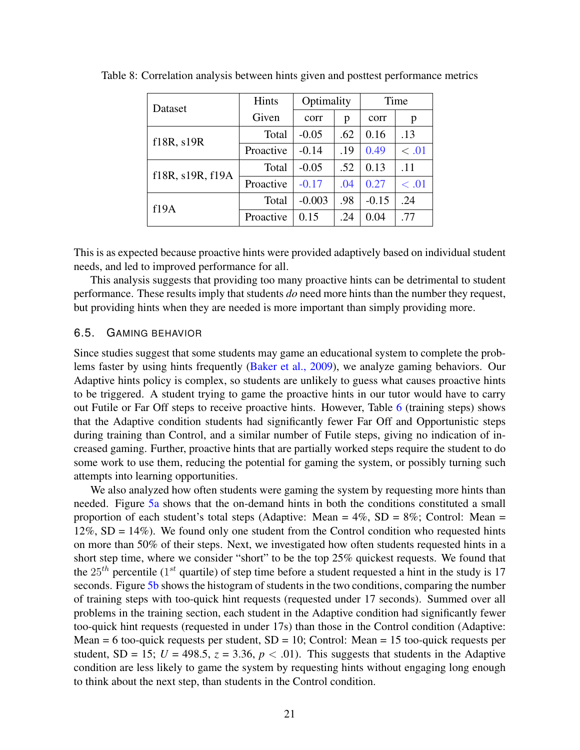| Dataset          | Hints     | Optimality |     | Time    |       |
|------------------|-----------|------------|-----|---------|-------|
|                  | Given     | corr       | p   | corr    | p     |
| f18R, s19R       | Total     | $-0.05$    | .62 | 0.16    | .13   |
|                  | Proactive | $-0.14$    | .19 | 0.49    | < .01 |
| f18R, s19R, f19A | Total     | $-0.05$    | .52 | 0.13    | .11   |
|                  | Proactive | $-0.17$    | .04 | 0.27    | < .01 |
| f19A             | Total     | $-0.003$   | .98 | $-0.15$ | .24   |
|                  | Proactive | 0.15       | .24 | 0.04    | .77   |

<span id="page-20-1"></span>Table 8: Correlation analysis between hints given and posttest performance metrics

This is as expected because proactive hints were provided adaptively based on individual student needs, and led to improved performance for all.

This analysis suggests that providing too many proactive hints can be detrimental to student performance. These results imply that students *do* need more hints than the number they request, but providing hints when they are needed is more important than simply providing more.

#### <span id="page-20-0"></span>6.5. GAMING BEHAVIOR

Since studies suggest that some students may game an educational system to complete the problems faster by using hints frequently [\(Baker et al., 2009\)](#page-29-8), we analyze gaming behaviors. Our Adaptive hints policy is complex, so students are unlikely to guess what causes proactive hints to be triggered. A student trying to game the proactive hints in our tutor would have to carry out Futile or Far Off steps to receive proactive hints. However, Table [6](#page-17-1) (training steps) shows that the Adaptive condition students had significantly fewer Far Off and Opportunistic steps during training than Control, and a similar number of Futile steps, giving no indication of increased gaming. Further, proactive hints that are partially worked steps require the student to do some work to use them, reducing the potential for gaming the system, or possibly turning such attempts into learning opportunities.

We also analyzed how often students were gaming the system by requesting more hints than needed. Figure [5a](#page-21-0) shows that the on-demand hints in both the conditions constituted a small proportion of each student's total steps (Adaptive: Mean =  $4\%$ , SD =  $8\%$ ; Control: Mean = 12%,  $SD = 14%$ ). We found only one student from the Control condition who requested hints on more than 50% of their steps. Next, we investigated how often students requested hints in a short step time, where we consider "short" to be the top 25% quickest requests. We found that the  $25^{th}$  percentile (1<sup>st</sup> quartile) of step time before a student requested a hint in the study is 17 seconds. Figure [5b](#page-21-0) shows the histogram of students in the two conditions, comparing the number of training steps with too-quick hint requests (requested under 17 seconds). Summed over all problems in the training section, each student in the Adaptive condition had significantly fewer too-quick hint requests (requested in under 17s) than those in the Control condition (Adaptive: Mean = 6 too-quick requests per student,  $SD = 10$ ; Control: Mean = 15 too-quick requests per student, SD = 15;  $U = 498.5$ ,  $z = 3.36$ ,  $p < .01$ ). This suggests that students in the Adaptive condition are less likely to game the system by requesting hints without engaging long enough to think about the next step, than students in the Control condition.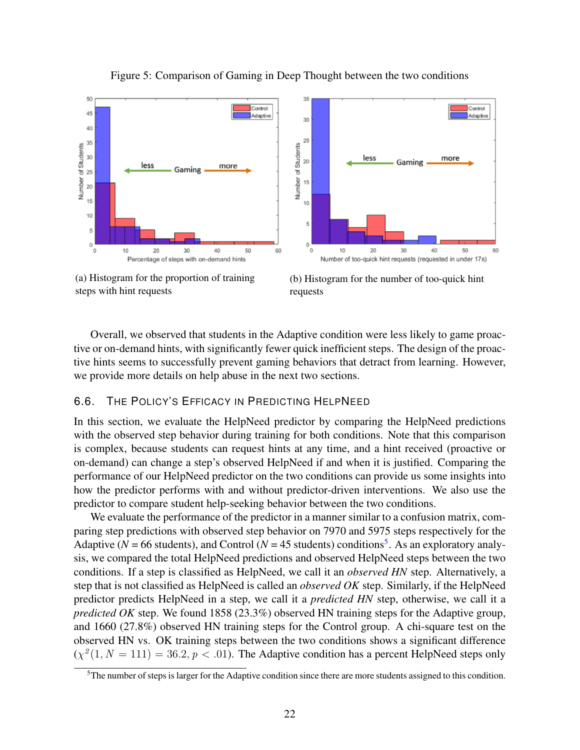<span id="page-21-0"></span>

Figure 5: Comparison of Gaming in Deep Thought between the two conditions



(b) Histogram for the number of too-quick hint requests

Overall, we observed that students in the Adaptive condition were less likely to game proactive or on-demand hints, with significantly fewer quick inefficient steps. The design of the proactive hints seems to successfully prevent gaming behaviors that detract from learning. However, we provide more details on help abuse in the next two sections.

#### <span id="page-21-2"></span>6.6. THE POLICY'S EFFICACY IN PREDICTING HELPNEED

In this section, we evaluate the HelpNeed predictor by comparing the HelpNeed predictions with the observed step behavior during training for both conditions. Note that this comparison is complex, because students can request hints at any time, and a hint received (proactive or on-demand) can change a step's observed HelpNeed if and when it is justified. Comparing the performance of our HelpNeed predictor on the two conditions can provide us some insights into how the predictor performs with and without predictor-driven interventions. We also use the predictor to compare student help-seeking behavior between the two conditions.

We evaluate the performance of the predictor in a manner similar to a confusion matrix, comparing step predictions with observed step behavior on 7970 and 5975 steps respectively for the Adaptive ( $N = 66$  students), and Control ( $N = 45$  $N = 45$  students) conditions<sup>5</sup>. As an exploratory analysis, we compared the total HelpNeed predictions and observed HelpNeed steps between the two conditions. If a step is classified as HelpNeed, we call it an *observed HN* step. Alternatively, a step that is not classified as HelpNeed is called an *observed OK* step. Similarly, if the HelpNeed predictor predicts HelpNeed in a step, we call it a *predicted HN* step, otherwise, we call it a *predicted OK* step. We found 1858 (23.3%) observed HN training steps for the Adaptive group, and 1660 (27.8%) observed HN training steps for the Control group. A chi-square test on the observed HN vs. OK training steps between the two conditions shows a significant difference  $(\chi^2(1, N = 111) = 36.2, p < .01)$ . The Adaptive condition has a percent HelpNeed steps only

<span id="page-21-1"></span> $5$ The number of steps is larger for the Adaptive condition since there are more students assigned to this condition.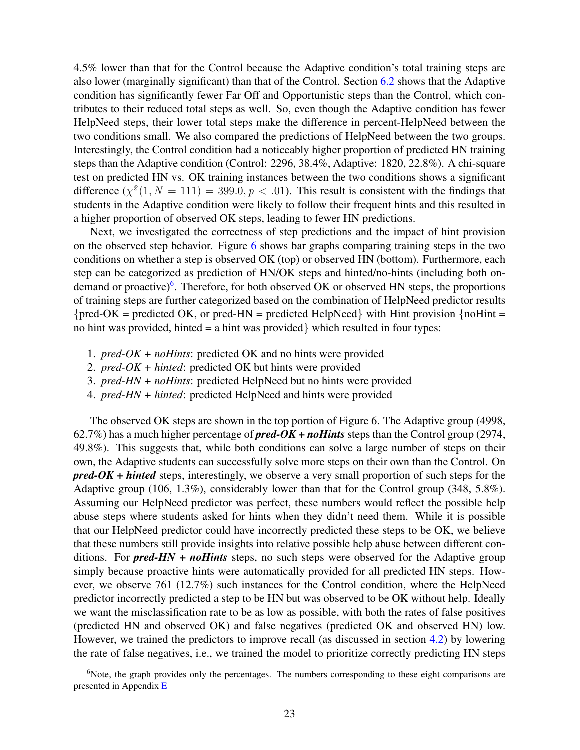4.5% lower than that for the Control because the Adaptive condition's total training steps are also lower (marginally significant) than that of the Control. Section [6.2](#page-17-2) shows that the Adaptive condition has significantly fewer Far Off and Opportunistic steps than the Control, which contributes to their reduced total steps as well. So, even though the Adaptive condition has fewer HelpNeed steps, their lower total steps make the difference in percent-HelpNeed between the two conditions small. We also compared the predictions of HelpNeed between the two groups. Interestingly, the Control condition had a noticeably higher proportion of predicted HN training steps than the Adaptive condition (Control: 2296, 38.4%, Adaptive: 1820, 22.8%). A chi-square test on predicted HN vs. OK training instances between the two conditions shows a significant difference  $(\chi^2(1, N = 111) = 399.0, p < .01)$ . This result is consistent with the findings that students in the Adaptive condition were likely to follow their frequent hints and this resulted in a higher proportion of observed OK steps, leading to fewer HN predictions.

Next, we investigated the correctness of step predictions and the impact of hint provision on the observed step behavior. Figure [6](#page-23-0) shows bar graphs comparing training steps in the two conditions on whether a step is observed OK (top) or observed HN (bottom). Furthermore, each step can be categorized as prediction of HN/OK steps and hinted/no-hints (including both on-demand or proactive)<sup>[6](#page-22-0)</sup>. Therefore, for both observed OK or observed HN steps, the proportions of training steps are further categorized based on the combination of HelpNeed predictor results  ${pred-OK}$  = predicted OK, or pred-HN = predicted HelpNeed with Hint provision  ${noHint}$  = no hint was provided, hinted  $=$  a hint was provided which resulted in four types:

- 1. *pred-OK + noHints*: predicted OK and no hints were provided
- 2. *pred-OK + hinted*: predicted OK but hints were provided
- 3. *pred-HN + noHints*: predicted HelpNeed but no hints were provided
- 4. *pred-HN + hinted*: predicted HelpNeed and hints were provided

The observed OK steps are shown in the top portion of Figure 6. The Adaptive group (4998, 62.7%) has a much higher percentage of *pred-OK + noHints* steps than the Control group (2974, 49.8%). This suggests that, while both conditions can solve a large number of steps on their own, the Adaptive students can successfully solve more steps on their own than the Control. On *pred-OK + hinted* steps, interestingly, we observe a very small proportion of such steps for the Adaptive group (106, 1.3%), considerably lower than that for the Control group (348, 5.8%). Assuming our HelpNeed predictor was perfect, these numbers would reflect the possible help abuse steps where students asked for hints when they didn't need them. While it is possible that our HelpNeed predictor could have incorrectly predicted these steps to be OK, we believe that these numbers still provide insights into relative possible help abuse between different conditions. For *pred-HN + noHints* steps, no such steps were observed for the Adaptive group simply because proactive hints were automatically provided for all predicted HN steps. However, we observe 761 (12.7%) such instances for the Control condition, where the HelpNeed predictor incorrectly predicted a step to be HN but was observed to be OK without help. Ideally we want the misclassification rate to be as low as possible, with both the rates of false positives (predicted HN and observed OK) and false negatives (predicted OK and observed HN) low. However, we trained the predictors to improve recall (as discussed in section [4.2\)](#page-12-1) by lowering the rate of false negatives, i.e., we trained the model to prioritize correctly predicting HN steps

<span id="page-22-0"></span><sup>&</sup>lt;sup>6</sup>Note, the graph provides only the percentages. The numbers corresponding to these eight comparisons are presented in Appendix [E](#page-40-0)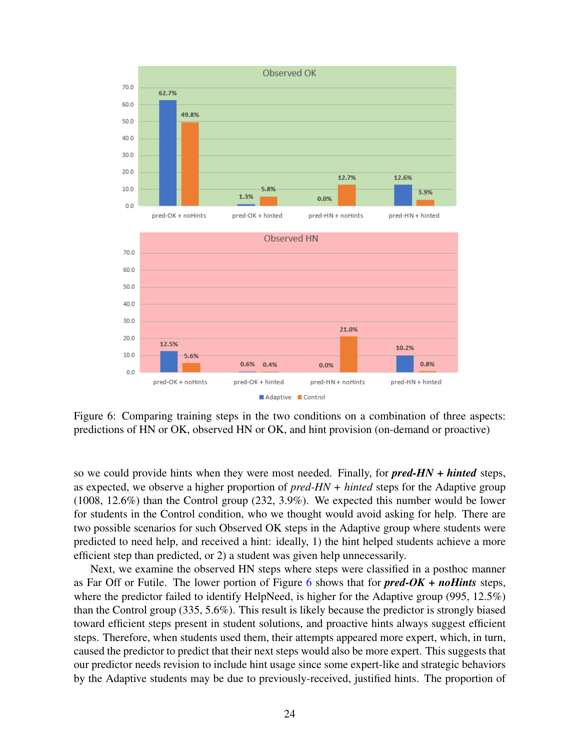<span id="page-23-0"></span>

Figure 6: Comparing training steps in the two conditions on a combination of three aspects: predictions of HN or OK, observed HN or OK, and hint provision (on-demand or proactive)

so we could provide hints when they were most needed. Finally, for *pred-HN + hinted* steps, as expected, we observe a higher proportion of *pred-HN + hinted* steps for the Adaptive group (1008, 12.6%) than the Control group (232, 3.9%). We expected this number would be lower for students in the Control condition, who we thought would avoid asking for help. There are two possible scenarios for such Observed OK steps in the Adaptive group where students were predicted to need help, and received a hint: ideally, 1) the hint helped students achieve a more efficient step than predicted, or 2) a student was given help unnecessarily.

Next, we examine the observed HN steps where steps were classified in a posthoc manner as Far Off or Futile. The lower portion of Figure [6](#page-23-0) shows that for *pred-OK + noHints* steps, where the predictor failed to identify HelpNeed, is higher for the Adaptive group (995,  $12.5\%$ ) than the Control group (335, 5.6%). This result is likely because the predictor is strongly biased toward efficient steps present in student solutions, and proactive hints always suggest efficient steps. Therefore, when students used them, their attempts appeared more expert, which, in turn, caused the predictor to predict that their next steps would also be more expert. This suggests that our predictor needs revision to include hint usage since some expert-like and strategic behaviors by the Adaptive students may be due to previously-received, justified hints. The proportion of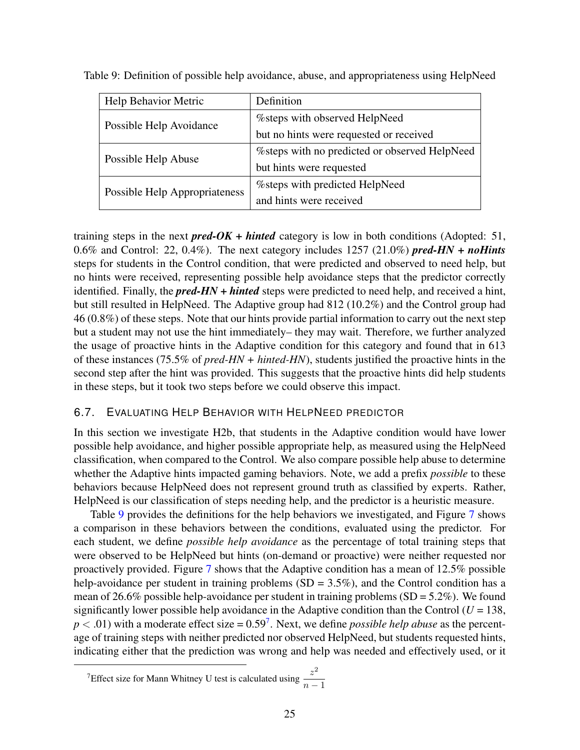| Help Behavior Metric          | Definition                                     |
|-------------------------------|------------------------------------------------|
| Possible Help Avoidance       | %steps with observed HelpNeed                  |
|                               | but no hints were requested or received        |
| Possible Help Abuse           | % steps with no predicted or observed HelpNeed |
|                               | but hints were requested                       |
| Possible Help Appropriateness | % % with predicted HelpNeed                    |
|                               | and hints were received                        |

<span id="page-24-1"></span>Table 9: Definition of possible help avoidance, abuse, and appropriateness using HelpNeed

training steps in the next **pred-OK + hinted** category is low in both conditions (Adopted: 51, 0.6% and Control: 22, 0.4%). The next category includes 1257 (21.0%) *pred-HN + noHints* steps for students in the Control condition, that were predicted and observed to need help, but no hints were received, representing possible help avoidance steps that the predictor correctly identified. Finally, the *pred-HN + hinted* steps were predicted to need help, and received a hint, but still resulted in HelpNeed. The Adaptive group had 812 (10.2%) and the Control group had 46 (0.8%) of these steps. Note that our hints provide partial information to carry out the next step but a student may not use the hint immediately– they may wait. Therefore, we further analyzed the usage of proactive hints in the Adaptive condition for this category and found that in 613 of these instances (75.5% of *pred-HN + hinted-HN*), students justified the proactive hints in the second step after the hint was provided. This suggests that the proactive hints did help students in these steps, but it took two steps before we could observe this impact.

#### <span id="page-24-0"></span>6.7. EVALUATING HELP BEHAVIOR WITH HELPNEED PREDICTOR

In this section we investigate H2b, that students in the Adaptive condition would have lower possible help avoidance, and higher possible appropriate help, as measured using the HelpNeed classification, when compared to the Control. We also compare possible help abuse to determine whether the Adaptive hints impacted gaming behaviors. Note, we add a prefix *possible* to these behaviors because HelpNeed does not represent ground truth as classified by experts. Rather, HelpNeed is our classification of steps needing help, and the predictor is a heuristic measure.

Table [9](#page-24-1) provides the definitions for the help behaviors we investigated, and Figure [7](#page-25-0) shows a comparison in these behaviors between the conditions, evaluated using the predictor. For each student, we define *possible help avoidance* as the percentage of total training steps that were observed to be HelpNeed but hints (on-demand or proactive) were neither requested nor proactively provided. Figure [7](#page-25-0) shows that the Adaptive condition has a mean of 12.5% possible help-avoidance per student in training problems  $(SD = 3.5\%)$ , and the Control condition has a mean of 26.6% possible help-avoidance per student in training problems  $(SD = 5.2\%)$ . We found significantly lower possible help avoidance in the Adaptive condition than the Control  $(U = 138$ ,  $p < .01$ ) with a moderate effect size =  $0.59<sup>7</sup>$  $0.59<sup>7</sup>$  $0.59<sup>7</sup>$ . Next, we define *possible help abuse* as the percentage of training steps with neither predicted nor observed HelpNeed, but students requested hints, indicating either that the prediction was wrong and help was needed and effectively used, or it

<span id="page-24-2"></span><sup>&</sup>lt;sup>7</sup>Effect size for Mann Whitney U test is calculated using  $\frac{z^2}{z^2}$  $n-1$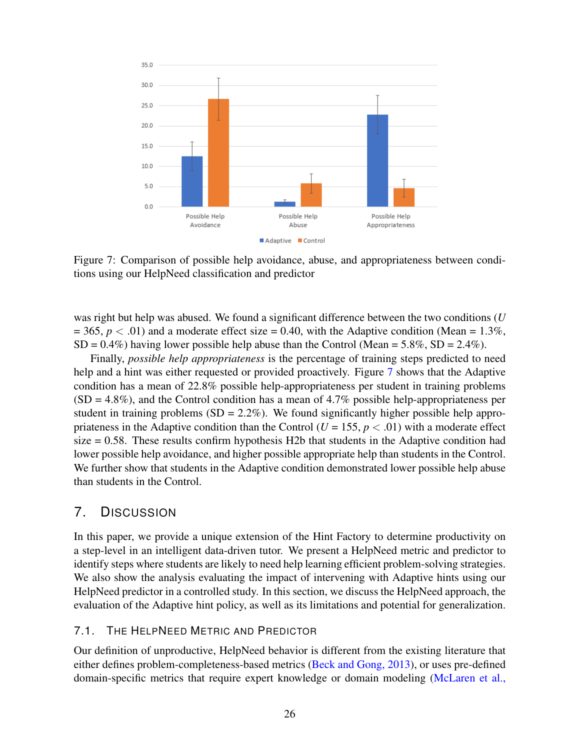<span id="page-25-0"></span>

Figure 7: Comparison of possible help avoidance, abuse, and appropriateness between conditions using our HelpNeed classification and predictor

was right but help was abused. We found a significant difference between the two conditions (*U*  $= 365, p < .01$ ) and a moderate effect size  $= 0.40$ , with the Adaptive condition (Mean  $= 1.3\%$ ,  $SD = 0.4\%$ ) having lower possible help abuse than the Control (Mean = 5.8%,  $SD = 2.4\%$ ).

Finally, *possible help appropriateness* is the percentage of training steps predicted to need help and a hint was either requested or provided proactively. Figure [7](#page-25-0) shows that the Adaptive condition has a mean of 22.8% possible help-appropriateness per student in training problems  $(SD = 4.8\%)$ , and the Control condition has a mean of 4.7% possible help-appropriateness per student in training problems  $(SD = 2.2\%)$ . We found significantly higher possible help appropriateness in the Adaptive condition than the Control  $(U = 155, p < .01)$  with a moderate effect size  $= 0.58$ . These results confirm hypothesis H2b that students in the Adaptive condition had lower possible help avoidance, and higher possible appropriate help than students in the Control. We further show that students in the Adaptive condition demonstrated lower possible help abuse than students in the Control.

## 7. DISCUSSION

In this paper, we provide a unique extension of the Hint Factory to determine productivity on a step-level in an intelligent data-driven tutor. We present a HelpNeed metric and predictor to identify steps where students are likely to need help learning efficient problem-solving strategies. We also show the analysis evaluating the impact of intervening with Adaptive hints using our HelpNeed predictor in a controlled study. In this section, we discuss the HelpNeed approach, the evaluation of the Adaptive hint policy, as well as its limitations and potential for generalization.

#### 7.1. THE HELPNEED METRIC AND PREDICTOR

Our definition of unproductive, HelpNeed behavior is different from the existing literature that either defines problem-completeness-based metrics [\(Beck and Gong, 2013\)](#page-29-7), or uses pre-defined domain-specific metrics that require expert knowledge or domain modeling [\(McLaren et al.,](#page-31-4)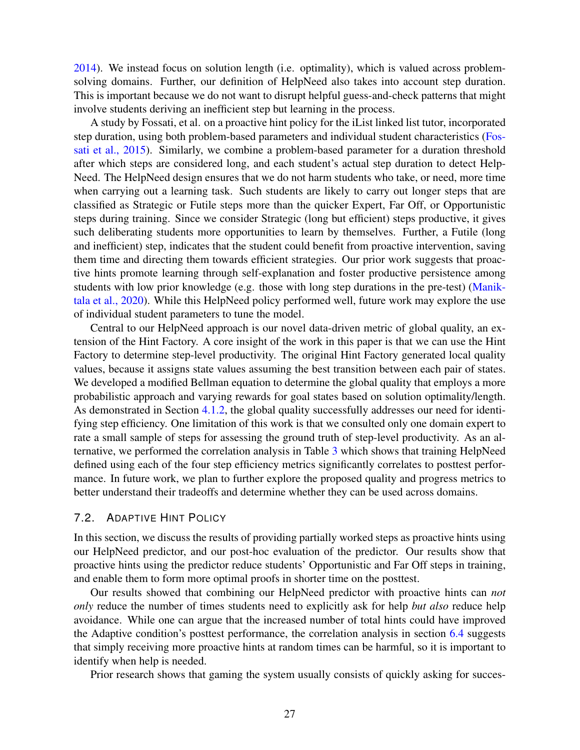[2014\)](#page-31-4). We instead focus on solution length (i.e. optimality), which is valued across problemsolving domains. Further, our definition of HelpNeed also takes into account step duration. This is important because we do not want to disrupt helpful guess-and-check patterns that might involve students deriving an inefficient step but learning in the process.

A study by Fossati, et al. on a proactive hint policy for the iList linked list tutor, incorporated step duration, using both problem-based parameters and individual student characteristics [\(Fos](#page-30-2)[sati et al., 2015\)](#page-30-2). Similarly, we combine a problem-based parameter for a duration threshold after which steps are considered long, and each student's actual step duration to detect Help-Need. The HelpNeed design ensures that we do not harm students who take, or need, more time when carrying out a learning task. Such students are likely to carry out longer steps that are classified as Strategic or Futile steps more than the quicker Expert, Far Off, or Opportunistic steps during training. Since we consider Strategic (long but efficient) steps productive, it gives such deliberating students more opportunities to learn by themselves. Further, a Futile (long and inefficient) step, indicates that the student could benefit from proactive intervention, saving them time and directing them towards efficient strategies. Our prior work suggests that proactive hints promote learning through self-explanation and foster productive persistence among students with low prior knowledge (e.g. those with long step durations in the pre-test) [\(Manik](#page-31-7)[tala et al., 2020\)](#page-31-7). While this HelpNeed policy performed well, future work may explore the use of individual student parameters to tune the model.

Central to our HelpNeed approach is our novel data-driven metric of global quality, an extension of the Hint Factory. A core insight of the work in this paper is that we can use the Hint Factory to determine step-level productivity. The original Hint Factory generated local quality values, because it assigns state values assuming the best transition between each pair of states. We developed a modified Bellman equation to determine the global quality that employs a more probabilistic approach and varying rewards for goal states based on solution optimality/length. As demonstrated in Section [4.1.2,](#page-7-0) the global quality successfully addresses our need for identifying step efficiency. One limitation of this work is that we consulted only one domain expert to rate a small sample of steps for assessing the ground truth of step-level productivity. As an alternative, we performed the correlation analysis in Table [3](#page-12-0) which shows that training HelpNeed defined using each of the four step efficiency metrics significantly correlates to posttest performance. In future work, we plan to further explore the proposed quality and progress metrics to better understand their tradeoffs and determine whether they can be used across domains.

#### 7.2. ADAPTIVE HINT POLICY

In this section, we discuss the results of providing partially worked steps as proactive hints using our HelpNeed predictor, and our post-hoc evaluation of the predictor. Our results show that proactive hints using the predictor reduce students' Opportunistic and Far Off steps in training, and enable them to form more optimal proofs in shorter time on the posttest.

Our results showed that combining our HelpNeed predictor with proactive hints can *not only* reduce the number of times students need to explicitly ask for help *but also* reduce help avoidance. While one can argue that the increased number of total hints could have improved the Adaptive condition's posttest performance, the correlation analysis in section [6.4](#page-19-1) suggests that simply receiving more proactive hints at random times can be harmful, so it is important to identify when help is needed.

Prior research shows that gaming the system usually consists of quickly asking for succes-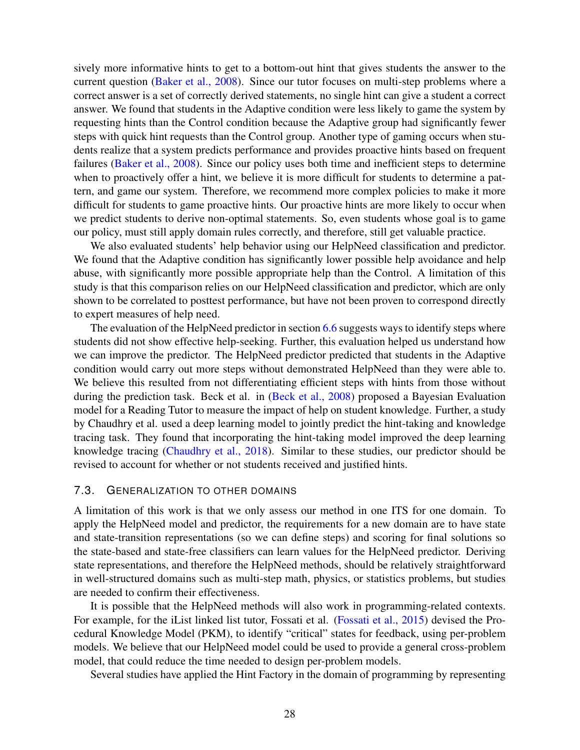sively more informative hints to get to a bottom-out hint that gives students the answer to the current question [\(Baker et al., 2008\)](#page-29-14). Since our tutor focuses on multi-step problems where a correct answer is a set of correctly derived statements, no single hint can give a student a correct answer. We found that students in the Adaptive condition were less likely to game the system by requesting hints than the Control condition because the Adaptive group had significantly fewer steps with quick hint requests than the Control group. Another type of gaming occurs when students realize that a system predicts performance and provides proactive hints based on frequent failures [\(Baker et al., 2008\)](#page-29-14). Since our policy uses both time and inefficient steps to determine when to proactively offer a hint, we believe it is more difficult for students to determine a pattern, and game our system. Therefore, we recommend more complex policies to make it more difficult for students to game proactive hints. Our proactive hints are more likely to occur when we predict students to derive non-optimal statements. So, even students whose goal is to game our policy, must still apply domain rules correctly, and therefore, still get valuable practice.

We also evaluated students' help behavior using our HelpNeed classification and predictor. We found that the Adaptive condition has significantly lower possible help avoidance and help abuse, with significantly more possible appropriate help than the Control. A limitation of this study is that this comparison relies on our HelpNeed classification and predictor, which are only shown to be correlated to posttest performance, but have not been proven to correspond directly to expert measures of help need.

The evaluation of the HelpNeed predictor in section [6.6](#page-21-2) suggests ways to identify steps where students did not show effective help-seeking. Further, this evaluation helped us understand how we can improve the predictor. The HelpNeed predictor predicted that students in the Adaptive condition would carry out more steps without demonstrated HelpNeed than they were able to. We believe this resulted from not differentiating efficient steps with hints from those without during the prediction task. Beck et al. in [\(Beck et al., 2008\)](#page-29-15) proposed a Bayesian Evaluation model for a Reading Tutor to measure the impact of help on student knowledge. Further, a study by Chaudhry et al. used a deep learning model to jointly predict the hint-taking and knowledge tracing task. They found that incorporating the hint-taking model improved the deep learning knowledge tracing [\(Chaudhry et al., 2018\)](#page-30-14). Similar to these studies, our predictor should be revised to account for whether or not students received and justified hints.

#### 7.3. GENERALIZATION TO OTHER DOMAINS

A limitation of this work is that we only assess our method in one ITS for one domain. To apply the HelpNeed model and predictor, the requirements for a new domain are to have state and state-transition representations (so we can define steps) and scoring for final solutions so the state-based and state-free classifiers can learn values for the HelpNeed predictor. Deriving state representations, and therefore the HelpNeed methods, should be relatively straightforward in well-structured domains such as multi-step math, physics, or statistics problems, but studies are needed to confirm their effectiveness.

It is possible that the HelpNeed methods will also work in programming-related contexts. For example, for the iList linked list tutor, Fossati et al. [\(Fossati et al., 2015\)](#page-30-2) devised the Procedural Knowledge Model (PKM), to identify "critical" states for feedback, using per-problem models. We believe that our HelpNeed model could be used to provide a general cross-problem model, that could reduce the time needed to design per-problem models.

Several studies have applied the Hint Factory in the domain of programming by representing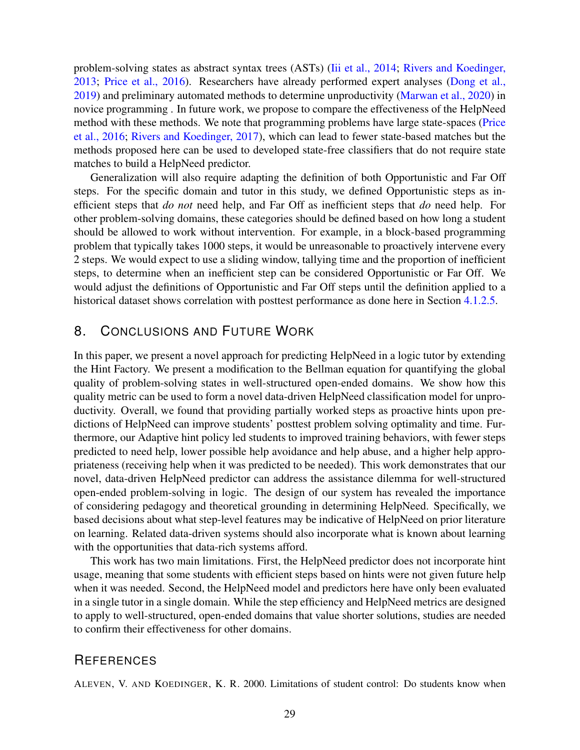problem-solving states as abstract syntax trees (ASTs) [\(Iii et al., 2014;](#page-30-15) [Rivers and Koedinger,](#page-32-14) [2013;](#page-32-14) [Price et al., 2016\)](#page-32-15). Researchers have already performed expert analyses [\(Dong et al.,](#page-30-16) [2019\)](#page-30-16) and preliminary automated methods to determine unproductivity [\(Marwan et al., 2020\)](#page-31-16) in novice programming . In future work, we propose to compare the effectiveness of the HelpNeed method with these methods. We note that programming problems have large state-spaces [\(Price](#page-32-15) [et al., 2016;](#page-32-15) [Rivers and Koedinger, 2017\)](#page-32-16), which can lead to fewer state-based matches but the methods proposed here can be used to developed state-free classifiers that do not require state matches to build a HelpNeed predictor.

Generalization will also require adapting the definition of both Opportunistic and Far Off steps. For the specific domain and tutor in this study, we defined Opportunistic steps as inefficient steps that *do not* need help, and Far Off as inefficient steps that *do* need help. For other problem-solving domains, these categories should be defined based on how long a student should be allowed to work without intervention. For example, in a block-based programming problem that typically takes 1000 steps, it would be unreasonable to proactively intervene every 2 steps. We would expect to use a sliding window, tallying time and the proportion of inefficient steps, to determine when an inefficient step can be considered Opportunistic or Far Off. We would adjust the definitions of Opportunistic and Far Off steps until the definition applied to a historical dataset shows correlation with posttest performance as done here in Section [4.1.2.5.](#page-11-2)

## 8. CONCLUSIONS AND FUTURE WORK

In this paper, we present a novel approach for predicting HelpNeed in a logic tutor by extending the Hint Factory. We present a modification to the Bellman equation for quantifying the global quality of problem-solving states in well-structured open-ended domains. We show how this quality metric can be used to form a novel data-driven HelpNeed classification model for unproductivity. Overall, we found that providing partially worked steps as proactive hints upon predictions of HelpNeed can improve students' posttest problem solving optimality and time. Furthermore, our Adaptive hint policy led students to improved training behaviors, with fewer steps predicted to need help, lower possible help avoidance and help abuse, and a higher help appropriateness (receiving help when it was predicted to be needed). This work demonstrates that our novel, data-driven HelpNeed predictor can address the assistance dilemma for well-structured open-ended problem-solving in logic. The design of our system has revealed the importance of considering pedagogy and theoretical grounding in determining HelpNeed. Specifically, we based decisions about what step-level features may be indicative of HelpNeed on prior literature on learning. Related data-driven systems should also incorporate what is known about learning with the opportunities that data-rich systems afford.

This work has two main limitations. First, the HelpNeed predictor does not incorporate hint usage, meaning that some students with efficient steps based on hints were not given future help when it was needed. Second, the HelpNeed model and predictors here have only been evaluated in a single tutor in a single domain. While the step efficiency and HelpNeed metrics are designed to apply to well-structured, open-ended domains that value shorter solutions, studies are needed to confirm their effectiveness for other domains.

## **REFERENCES**

<span id="page-28-0"></span>ALEVEN, V. AND KOEDINGER, K. R. 2000. Limitations of student control: Do students know when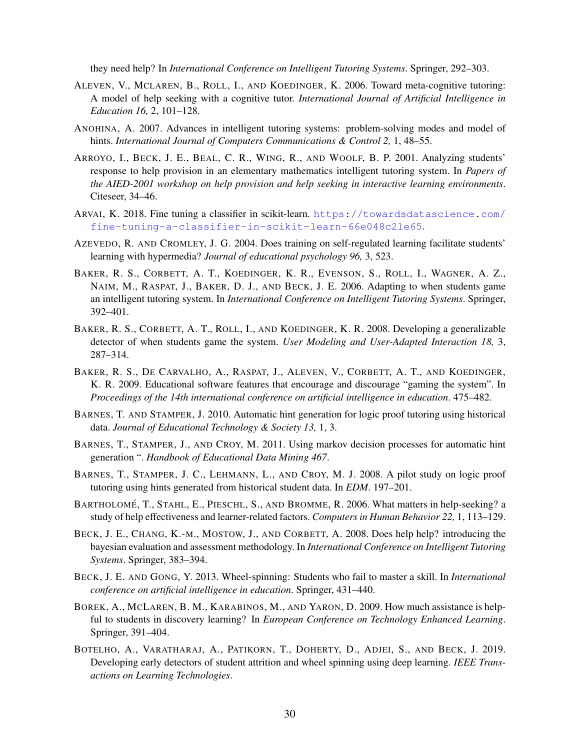they need help? In *International Conference on Intelligent Tutoring Systems*. Springer, 292–303.

- <span id="page-29-1"></span>ALEVEN, V., MCLAREN, B., ROLL, I., AND KOEDINGER, K. 2006. Toward meta-cognitive tutoring: A model of help seeking with a cognitive tutor. *International Journal of Artificial Intelligence in Education 16,* 2, 101–128.
- <span id="page-29-5"></span>ANOHINA, A. 2007. Advances in intelligent tutoring systems: problem-solving modes and model of hints. *International Journal of Computers Communications & Control 2,* 1, 48–55.
- <span id="page-29-2"></span>ARROYO, I., BECK, J. E., BEAL, C. R., WING, R., AND WOOLF, B. P. 2001. Analyzing students' response to help provision in an elementary mathematics intelligent tutoring system. In *Papers of the AIED-2001 workshop on help provision and help seeking in interactive learning environments*. Citeseer, 34–46.
- <span id="page-29-12"></span>ARVAI, K. 2018. Fine tuning a classifier in scikit-learn. [https://towardsdatascience.com/](https://towardsdatascience.com/fine-tuning-a-classifier-in-scikit-learn-66e048c21e65) [fine-tuning-a-classifier-in-scikit-learn-66e048c21e65](https://towardsdatascience.com/fine-tuning-a-classifier-in-scikit-learn-66e048c21e65).
- <span id="page-29-13"></span>AZEVEDO, R. AND CROMLEY, J. G. 2004. Does training on self-regulated learning facilitate students' learning with hypermedia? *Journal of educational psychology 96,* 3, 523.
- <span id="page-29-9"></span>BAKER, R. S., CORBETT, A. T., KOEDINGER, K. R., EVENSON, S., ROLL, I., WAGNER, A. Z., NAIM, M., RASPAT, J., BAKER, D. J., AND BECK, J. E. 2006. Adapting to when students game an intelligent tutoring system. In *International Conference on Intelligent Tutoring Systems*. Springer, 392–401.
- <span id="page-29-14"></span>BAKER, R. S., CORBETT, A. T., ROLL, I., AND KOEDINGER, K. R. 2008. Developing a generalizable detector of when students game the system. *User Modeling and User-Adapted Interaction 18,* 3, 287–314.
- <span id="page-29-8"></span>BAKER, R. S., DE CARVALHO, A., RASPAT, J., ALEVEN, V., CORBETT, A. T., AND KOEDINGER, K. R. 2009. Educational software features that encourage and discourage "gaming the system". In *Proceedings of the 14th international conference on artificial intelligence in education*. 475–482.
- <span id="page-29-10"></span>BARNES, T. AND STAMPER, J. 2010. Automatic hint generation for logic proof tutoring using historical data. *Journal of Educational Technology & Society 13,* 1, 3.
- <span id="page-29-4"></span>BARNES, T., STAMPER, J., AND CROY, M. 2011. Using markov decision processes for automatic hint generation ". *Handbook of Educational Data Mining 467*.
- <span id="page-29-11"></span>BARNES, T., STAMPER, J. C., LEHMANN, L., AND CROY, M. J. 2008. A pilot study on logic proof tutoring using hints generated from historical student data. In *EDM*. 197–201.
- <span id="page-29-0"></span>BARTHOLOMÉ, T., STAHL, E., PIESCHL, S., AND BROMME, R. 2006. What matters in help-seeking? a study of help effectiveness and learner-related factors. *Computers in Human Behavior 22,* 1, 113–129.
- <span id="page-29-15"></span>BECK, J. E., CHANG, K.-M., MOSTOW, J., AND CORBETT, A. 2008. Does help help? introducing the bayesian evaluation and assessment methodology. In *International Conference on Intelligent Tutoring Systems*. Springer, 383–394.
- <span id="page-29-7"></span>BECK, J. E. AND GONG, Y. 2013. Wheel-spinning: Students who fail to master a skill. In *International conference on artificial intelligence in education*. Springer, 431–440.
- <span id="page-29-3"></span>BOREK, A., MCLAREN, B. M., KARABINOS, M., AND YARON, D. 2009. How much assistance is helpful to students in discovery learning? In *European Conference on Technology Enhanced Learning*. Springer, 391–404.
- <span id="page-29-6"></span>BOTELHO, A., VARATHARAJ, A., PATIKORN, T., DOHERTY, D., ADJEI, S., AND BECK, J. 2019. Developing early detectors of student attrition and wheel spinning using deep learning. *IEEE Transactions on Learning Technologies*.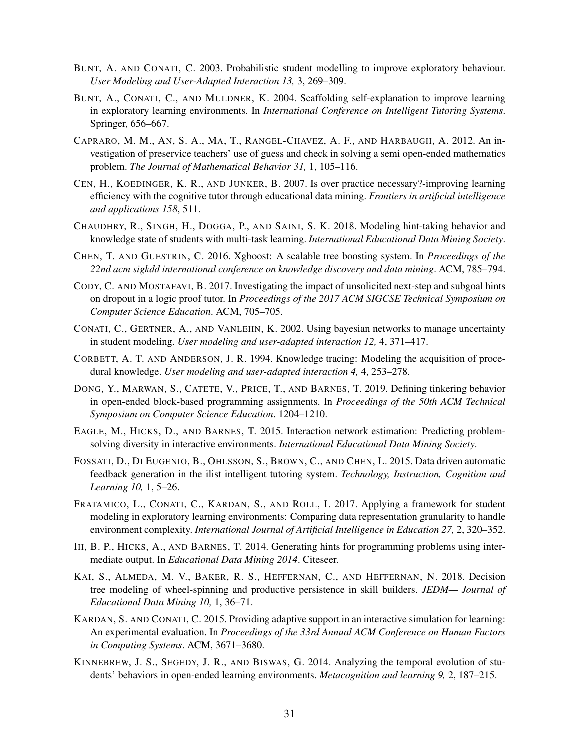- <span id="page-30-4"></span>BUNT, A. AND CONATI, C. 2003. Probabilistic student modelling to improve exploratory behaviour. *User Modeling and User-Adapted Interaction 13,* 3, 269–309.
- <span id="page-30-0"></span>BUNT, A., CONATI, C., AND MULDNER, K. 2004. Scaffolding self-explanation to improve learning in exploratory learning environments. In *International Conference on Intelligent Tutoring Systems*. Springer, 656–667.
- <span id="page-30-10"></span>CAPRARO, M. M., AN, S. A., MA, T., RANGEL-CHAVEZ, A. F., AND HARBAUGH, A. 2012. An investigation of preservice teachers' use of guess and check in solving a semi open-ended mathematics problem. *The Journal of Mathematical Behavior 31,* 1, 105–116.
- <span id="page-30-7"></span>CEN, H., KOEDINGER, K. R., AND JUNKER, B. 2007. Is over practice necessary?-improving learning efficiency with the cognitive tutor through educational data mining. *Frontiers in artificial intelligence and applications 158*, 511.
- <span id="page-30-14"></span>CHAUDHRY, R., SINGH, H., DOGGA, P., AND SAINI, S. K. 2018. Modeling hint-taking behavior and knowledge state of students with multi-task learning. *International Educational Data Mining Society*.
- <span id="page-30-13"></span>CHEN, T. AND GUESTRIN, C. 2016. Xgboost: A scalable tree boosting system. In *Proceedings of the 22nd acm sigkdd international conference on knowledge discovery and data mining*. ACM, 785–794.
- <span id="page-30-8"></span>CODY, C. AND MOSTAFAVI, B. 2017. Investigating the impact of unsolicited next-step and subgoal hints on dropout in a logic proof tutor. In *Proceedings of the 2017 ACM SIGCSE Technical Symposium on Computer Science Education*. ACM, 705–705.
- <span id="page-30-5"></span>CONATI, C., GERTNER, A., AND VANLEHN, K. 2002. Using bayesian networks to manage uncertainty in student modeling. *User modeling and user-adapted interaction 12,* 4, 371–417.
- <span id="page-30-9"></span>CORBETT, A. T. AND ANDERSON, J. R. 1994. Knowledge tracing: Modeling the acquisition of procedural knowledge. *User modeling and user-adapted interaction 4,* 4, 253–278.
- <span id="page-30-16"></span>DONG, Y., MARWAN, S., CATETE, V., PRICE, T., AND BARNES, T. 2019. Defining tinkering behavior in open-ended block-based programming assignments. In *Proceedings of the 50th ACM Technical Symposium on Computer Science Education*. 1204–1210.
- <span id="page-30-12"></span>EAGLE, M., HICKS, D., AND BARNES, T. 2015. Interaction network estimation: Predicting problemsolving diversity in interactive environments. *International Educational Data Mining Society*.
- <span id="page-30-2"></span>FOSSATI, D., DI EUGENIO, B., OHLSSON, S., BROWN, C., AND CHEN, L. 2015. Data driven automatic feedback generation in the ilist intelligent tutoring system. *Technology, Instruction, Cognition and Learning 10,* 1, 5–26.
- <span id="page-30-3"></span>FRATAMICO, L., CONATI, C., KARDAN, S., AND ROLL, I. 2017. Applying a framework for student modeling in exploratory learning environments: Comparing data representation granularity to handle environment complexity. *International Journal of Artificial Intelligence in Education 27,* 2, 320–352.
- <span id="page-30-15"></span>III, B. P., HICKS, A., AND BARNES, T. 2014. Generating hints for programming problems using intermediate output. In *Educational Data Mining 2014*. Citeseer.
- <span id="page-30-6"></span>KAI, S., ALMEDA, M. V., BAKER, R. S., HEFFERNAN, C., AND HEFFERNAN, N. 2018. Decision tree modeling of wheel-spinning and productive persistence in skill builders. *JEDM— Journal of Educational Data Mining 10,* 1, 36–71.
- <span id="page-30-1"></span>KARDAN, S. AND CONATI, C. 2015. Providing adaptive support in an interactive simulation for learning: An experimental evaluation. In *Proceedings of the 33rd Annual ACM Conference on Human Factors in Computing Systems*. ACM, 3671–3680.
- <span id="page-30-11"></span>KINNEBREW, J. S., SEGEDY, J. R., AND BISWAS, G. 2014. Analyzing the temporal evolution of students' behaviors in open-ended learning environments. *Metacognition and learning 9,* 2, 187–215.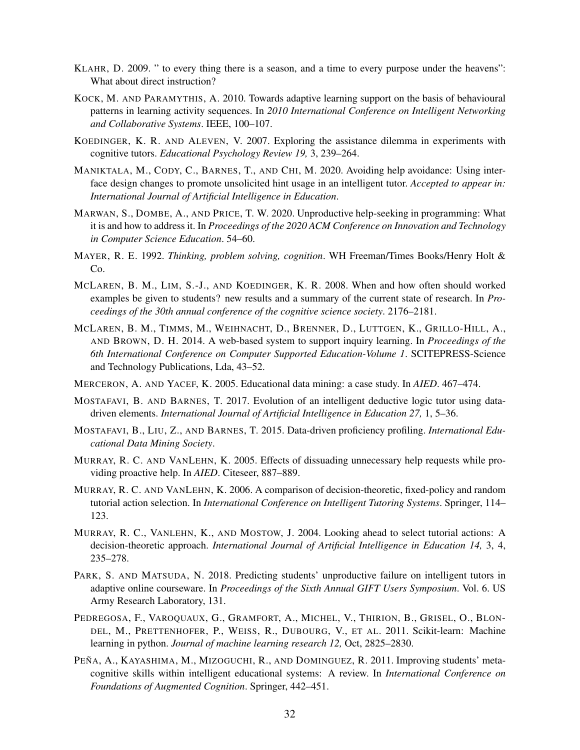- <span id="page-31-3"></span>KLAHR, D. 2009. " to every thing there is a season, and a time to every purpose under the heavens": What about direct instruction?
- <span id="page-31-6"></span>KOCK, M. AND PARAMYTHIS, A. 2010. Towards adaptive learning support on the basis of behavioural patterns in learning activity sequences. In *2010 International Conference on Intelligent Networking and Collaborative Systems*. IEEE, 100–107.
- <span id="page-31-1"></span>KOEDINGER, K. R. AND ALEVEN, V. 2007. Exploring the assistance dilemma in experiments with cognitive tutors. *Educational Psychology Review 19,* 3, 239–264.
- <span id="page-31-7"></span>MANIKTALA, M., CODY, C., BARNES, T., AND CHI, M. 2020. Avoiding help avoidance: Using interface design changes to promote unsolicited hint usage in an intelligent tutor. *Accepted to appear in: International Journal of Artificial Intelligence in Education*.
- <span id="page-31-16"></span>MARWAN, S., DOMBE, A., AND PRICE, T. W. 2020. Unproductive help-seeking in programming: What it is and how to address it. In *Proceedings of the 2020 ACM Conference on Innovation and Technology in Computer Science Education*. 54–60.
- <span id="page-31-11"></span>MAYER, R. E. 1992. *Thinking, problem solving, cognition*. WH Freeman/Times Books/Henry Holt & Co.
- <span id="page-31-8"></span>MCLAREN, B. M., LIM, S.-J., AND KOEDINGER, K. R. 2008. When and how often should worked examples be given to students? new results and a summary of the current state of research. In *Proceedings of the 30th annual conference of the cognitive science society*. 2176–2181.
- <span id="page-31-4"></span>MCLAREN, B. M., TIMMS, M., WEIHNACHT, D., BRENNER, D., LUTTGEN, K., GRILLO-HILL, A., AND BROWN, D. H. 2014. A web-based system to support inquiry learning. In *Proceedings of the 6th International Conference on Computer Supported Education-Volume 1*. SCITEPRESS-Science and Technology Publications, Lda, 43–52.
- <span id="page-31-2"></span>MERCERON, A. AND YACEF, K. 2005. Educational data mining: a case study. In *AIED*. 467–474.
- <span id="page-31-13"></span>MOSTAFAVI, B. AND BARNES, T. 2017. Evolution of an intelligent deductive logic tutor using datadriven elements. *International Journal of Artificial Intelligence in Education 27,* 1, 5–36.
- <span id="page-31-9"></span>MOSTAFAVI, B., LIU, Z., AND BARNES, T. 2015. Data-driven proficiency profiling. *International Educational Data Mining Society*.
- <span id="page-31-12"></span>MURRAY, R. C. AND VANLEHN, K. 2005. Effects of dissuading unnecessary help requests while providing proactive help. In *AIED*. Citeseer, 887–889.
- <span id="page-31-0"></span>MURRAY, R. C. AND VANLEHN, K. 2006. A comparison of decision-theoretic, fixed-policy and random tutorial action selection. In *International Conference on Intelligent Tutoring Systems*. Springer, 114– 123.
- <span id="page-31-5"></span>MURRAY, R. C., VANLEHN, K., AND MOSTOW, J. 2004. Looking ahead to select tutorial actions: A decision-theoretic approach. *International Journal of Artificial Intelligence in Education 14,* 3, 4, 235–278.
- <span id="page-31-10"></span>PARK, S. AND MATSUDA, N. 2018. Predicting students' unproductive failure on intelligent tutors in adaptive online courseware. In *Proceedings of the Sixth Annual GIFT Users Symposium*. Vol. 6. US Army Research Laboratory, 131.
- <span id="page-31-14"></span>PEDREGOSA, F., VAROQUAUX, G., GRAMFORT, A., MICHEL, V., THIRION, B., GRISEL, O., BLON-DEL, M., PRETTENHOFER, P., WEISS, R., DUBOURG, V., ET AL. 2011. Scikit-learn: Machine learning in python. *Journal of machine learning research 12,* Oct, 2825–2830.
- <span id="page-31-15"></span>PEÑA, A., KAYASHIMA, M., MIZOGUCHI, R., AND DOMINGUEZ, R. 2011. Improving students' metacognitive skills within intelligent educational systems: A review. In *International Conference on Foundations of Augmented Cognition*. Springer, 442–451.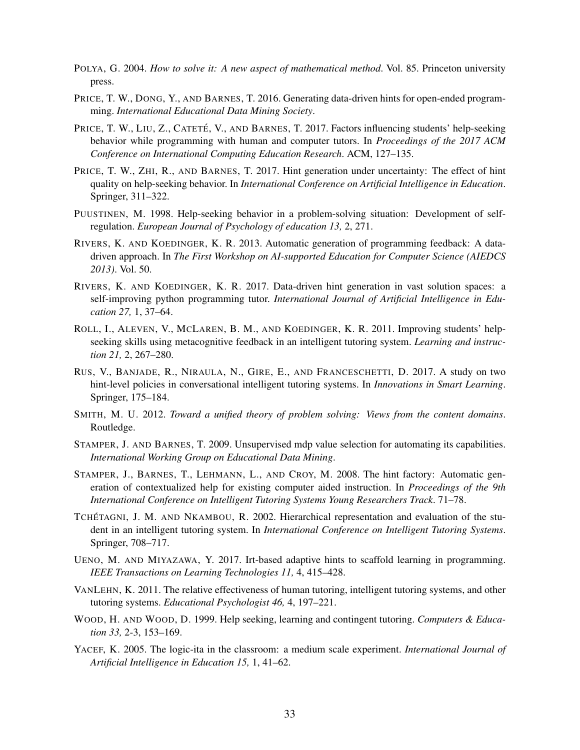- <span id="page-32-11"></span>POLYA, G. 2004. *How to solve it: A new aspect of mathematical method*. Vol. 85. Princeton university press.
- <span id="page-32-15"></span>PRICE, T. W., DONG, Y., AND BARNES, T. 2016. Generating data-driven hints for open-ended programming. *International Educational Data Mining Society*.
- <span id="page-32-3"></span>PRICE, T. W., LIU, Z., CATETÉ, V., AND BARNES, T. 2017. Factors influencing students' help-seeking behavior while programming with human and computer tutors. In *Proceedings of the 2017 ACM Conference on International Computing Education Research*. ACM, 127–135.
- <span id="page-32-2"></span>PRICE, T. W., ZHI, R., AND BARNES, T. 2017. Hint generation under uncertainty: The effect of hint quality on help-seeking behavior. In *International Conference on Artificial Intelligence in Education*. Springer, 311–322.
- <span id="page-32-1"></span>PUUSTINEN, M. 1998. Help-seeking behavior in a problem-solving situation: Development of selfregulation. *European Journal of Psychology of education 13,* 2, 271.
- <span id="page-32-14"></span>RIVERS, K. AND KOEDINGER, K. R. 2013. Automatic generation of programming feedback: A datadriven approach. In *The First Workshop on AI-supported Education for Computer Science (AIEDCS 2013)*. Vol. 50.
- <span id="page-32-16"></span>RIVERS, K. AND KOEDINGER, K. R. 2017. Data-driven hint generation in vast solution spaces: a self-improving python programming tutor. *International Journal of Artificial Intelligence in Education 27,* 1, 37–64.
- <span id="page-32-5"></span>ROLL, I., ALEVEN, V., MCLAREN, B. M., AND KOEDINGER, K. R. 2011. Improving students' helpseeking skills using metacognitive feedback in an intelligent tutoring system. *Learning and instruction 21,* 2, 267–280.
- <span id="page-32-6"></span>RUS, V., BANJADE, R., NIRAULA, N., GIRE, E., AND FRANCESCHETTI, D. 2017. A study on two hint-level policies in conversational intelligent tutoring systems. In *Innovations in Smart Learning*. Springer, 175–184.
- <span id="page-32-8"></span>SMITH, M. U. 2012. *Toward a unified theory of problem solving: Views from the content domains*. Routledge.
- <span id="page-32-12"></span>STAMPER, J. AND BARNES, T. 2009. Unsupervised mdp value selection for automating its capabilities. *International Working Group on Educational Data Mining*.
- <span id="page-32-10"></span>STAMPER, J., BARNES, T., LEHMANN, L., AND CROY, M. 2008. The hint factory: Automatic generation of contextualized help for existing computer aided instruction. In *Proceedings of the 9th International Conference on Intelligent Tutoring Systems Young Researchers Track*. 71–78.
- <span id="page-32-13"></span>TCHÉTAGNI, J. M. AND NKAMBOU, R. 2002. Hierarchical representation and evaluation of the student in an intelligent tutoring system. In *International Conference on Intelligent Tutoring Systems*. Springer, 708–717.
- <span id="page-32-4"></span>UENO, M. AND MIYAZAWA, Y. 2017. Irt-based adaptive hints to scaffold learning in programming. *IEEE Transactions on Learning Technologies 11,* 4, 415–428.
- <span id="page-32-0"></span>VANLEHN, K. 2011. The relative effectiveness of human tutoring, intelligent tutoring systems, and other tutoring systems. *Educational Psychologist 46,* 4, 197–221.
- <span id="page-32-7"></span>WOOD, H. AND WOOD, D. 1999. Help seeking, learning and contingent tutoring. *Computers & Education 33,* 2-3, 153–169.
- <span id="page-32-9"></span>YACEF, K. 2005. The logic-ita in the classroom: a medium scale experiment. *International Journal of Artificial Intelligence in Education 15,* 1, 41–62.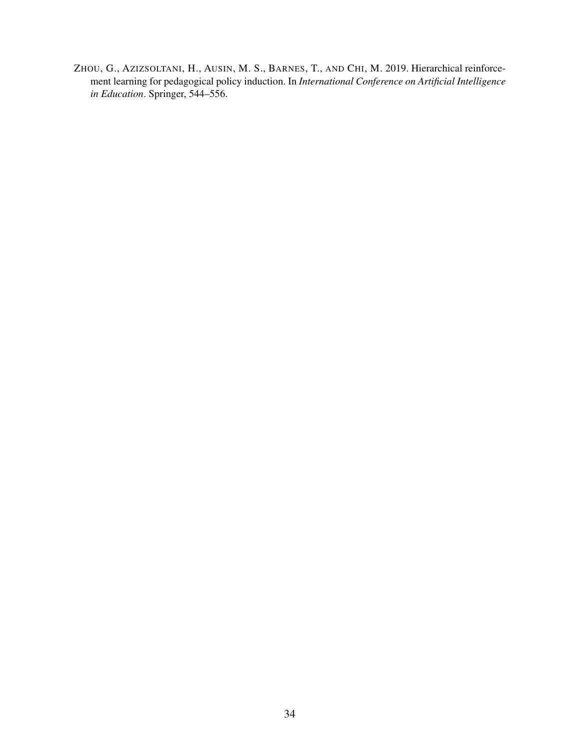<span id="page-33-0"></span>ZHOU, G., AZIZSOLTANI, H., AUSIN, M. S., BARNES, T., AND CHI, M. 2019. Hierarchical reinforcement learning for pedagogical policy induction. In *International Conference on Artificial Intelligence in Education*. Springer, 544–556.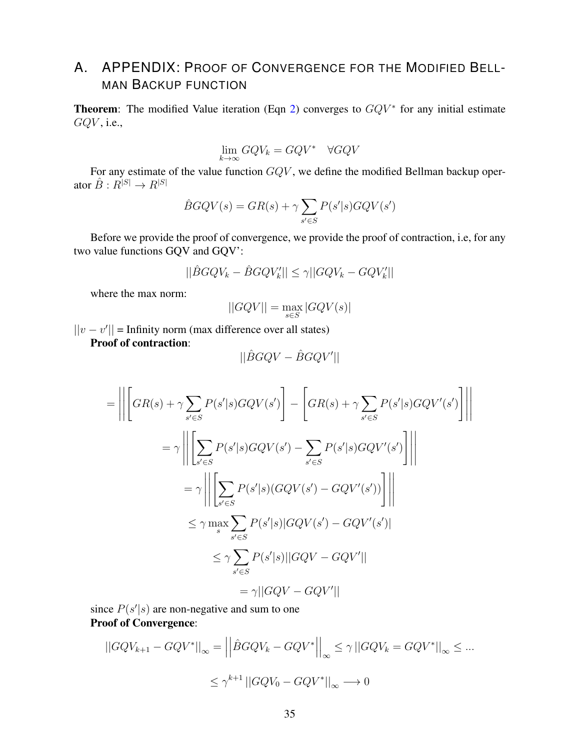# <span id="page-34-0"></span>A. APPENDIX: PROOF OF CONVERGENCE FOR THE MODIFIED BELL-MAN BACKUP FUNCTION

**Theorem:** The modified Value iteration (Eqn [2\)](#page-8-1) converges to  $GQV^*$  for any initial estimate  $GQV$ , i.e.,

$$
\lim_{k \to \infty} GQV_k = GQV^* \quad \forall GQV
$$

For any estimate of the value function GQV , we define the modified Bellman backup operator  $\hat{B}: R^{|S|} \to R^{|S|}$ 

$$
\hat{B}GQV(s) = GR(s) + \gamma \sum_{s' \in S} P(s'|s)GQV(s')
$$

Before we provide the proof of convergence, we provide the proof of contraction, i.e, for any two value functions GQV and GQV':

$$
||\hat{B}GQV_k - \hat{B}GQV_k'|| \le \gamma ||GQV_k - GQV_k'||
$$

where the max norm:

$$
||GQV|| = \max_{s \in S} |GQV(s)|
$$

 $||v - v'||$  = Infinity norm (max difference over all states)

Proof of contraction:

$$
||\hat{B}GQV - \hat{B}GQV'||
$$

$$
= \left\| \left[ GR(s) + \gamma \sum_{s' \in S} P(s'|s) GQV(s') \right] - \left[ GR(s) + \gamma \sum_{s' \in S} P(s'|s) GQV'(s') \right] \right\|
$$
  

$$
= \gamma \left\| \left[ \sum_{s' \in S} P(s'|s) GQV(s') - \sum_{s' \in S} P(s'|s) GQV'(s') \right] \right\|
$$
  

$$
= \gamma \left\| \left[ \sum_{s' \in S} P(s'|s) (GQV(s') - GQV'(s')) \right] \right\|
$$
  

$$
\leq \gamma \max_{s} \sum_{s' \in S} P(s'|s) |GQV(s') - GQV'(s')|
$$
  

$$
\leq \gamma \sum_{s' \in S} P(s'|s) ||GQV - GQV'||
$$
  

$$
= \gamma ||GQV - GQV'||
$$

since  $P(s'|s)$  are non-negative and sum to one Proof of Convergence:

$$
||GQV_{k+1} - GQV^*||_{\infty} = \left| \left| \hat{B}GQV_k - GQV^* \right| \right|_{\infty} \le \gamma \left| |GQV_k = GQV^*| \right|_{\infty} \le \dots
$$
  

$$
\le \gamma^{k+1} \left| |GQV_0 - GQV^*| \right|_{\infty} \longrightarrow 0
$$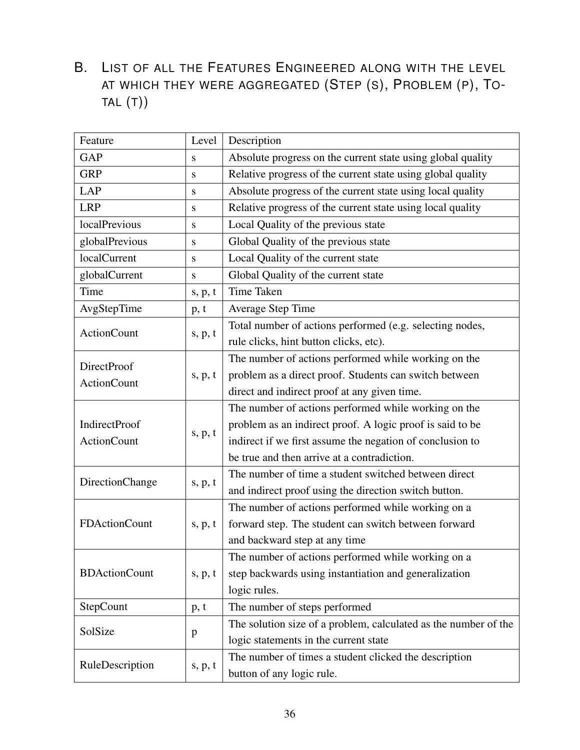# <span id="page-35-0"></span>B. LIST OF ALL THE FEATURES ENGINEERED ALONG WITH THE LEVEL AT WHICH THEY WERE AGGREGATED (STEP (S), PROBLEM (P), TO-TAL (T))

| Feature              | Level     | Description                                                     |
|----------------------|-----------|-----------------------------------------------------------------|
| <b>GAP</b>           | S         | Absolute progress on the current state using global quality     |
| <b>GRP</b>           | S         | Relative progress of the current state using global quality     |
| <b>LAP</b>           | S         | Absolute progress of the current state using local quality      |
| <b>LRP</b>           | S         | Relative progress of the current state using local quality      |
| localPrevious        | S         | Local Quality of the previous state                             |
| globalPrevious       | ${\bf S}$ | Global Quality of the previous state                            |
| localCurrent         | S         | Local Quality of the current state                              |
| globalCurrent        | S         | Global Quality of the current state                             |
| Time                 | s, p, t   | Time Taken                                                      |
| AvgStepTime          | p, t      | <b>Average Step Time</b>                                        |
| <b>ActionCount</b>   |           | Total number of actions performed (e.g. selecting nodes,        |
|                      | s, p, t   | rule clicks, hint button clicks, etc).                          |
| <b>DirectProof</b>   |           | The number of actions performed while working on the            |
| <b>ActionCount</b>   | s, p, t   | problem as a direct proof. Students can switch between          |
|                      |           | direct and indirect proof at any given time.                    |
|                      |           | The number of actions performed while working on the            |
| IndirectProof        |           | problem as an indirect proof. A logic proof is said to be       |
| <b>ActionCount</b>   | s, p, t   | indirect if we first assume the negation of conclusion to       |
|                      |           | be true and then arrive at a contradiction.                     |
|                      |           | The number of time a student switched between direct            |
| DirectionChange      | s, p, t   | and indirect proof using the direction switch button.           |
|                      |           | The number of actions performed while working on a              |
| <b>FDActionCount</b> | s, p, t   | forward step. The student can switch between forward            |
|                      |           | and backward step at any time                                   |
|                      |           | The number of actions performed while working on a              |
| <b>BDActionCount</b> | s, p, t   | step backwards using instantiation and generalization           |
|                      |           | logic rules.                                                    |
| StepCount            | p, t      | The number of steps performed                                   |
|                      |           | The solution size of a problem, calculated as the number of the |
| SolSize              | p         | logic statements in the current state                           |
|                      |           | The number of times a student clicked the description           |
| RuleDescription      | s, p, t   | button of any logic rule.                                       |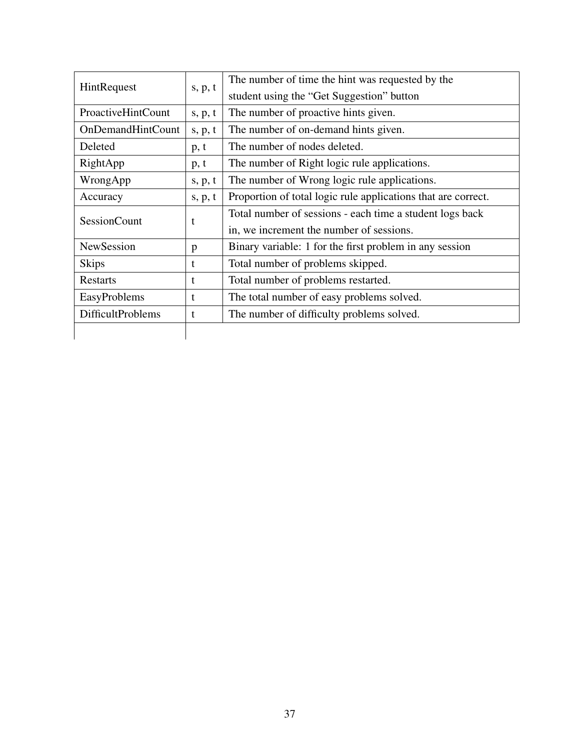| HintRequest               | s, p, t | The number of time the hint was requested by the              |  |  |
|---------------------------|---------|---------------------------------------------------------------|--|--|
|                           |         | student using the "Get Suggestion" button                     |  |  |
| <b>ProactiveHintCount</b> | s, p, t | The number of proactive hints given.                          |  |  |
| <b>OnDemandHintCount</b>  | s, p, t | The number of on-demand hints given.                          |  |  |
| Deleted                   | p, t    | The number of nodes deleted.                                  |  |  |
| RightApp                  | p, t    | The number of Right logic rule applications.                  |  |  |
| WrongApp<br>s, p, t       |         | The number of Wrong logic rule applications.                  |  |  |
| Accuracy<br>s, p, t       |         | Proportion of total logic rule applications that are correct. |  |  |
| <b>SessionCount</b>       | t       | Total number of sessions - each time a student logs back      |  |  |
|                           |         | in, we increment the number of sessions.                      |  |  |
| NewSession                | p       | Binary variable: 1 for the first problem in any session       |  |  |
| <b>Skips</b>              | t       | Total number of problems skipped.                             |  |  |
| <b>Restarts</b>           | t       | Total number of problems restarted.                           |  |  |
| EasyProblems              | t       | The total number of easy problems solved.                     |  |  |
| <b>DifficultProblems</b>  | t       | The number of difficulty problems solved.                     |  |  |
|                           |         |                                                               |  |  |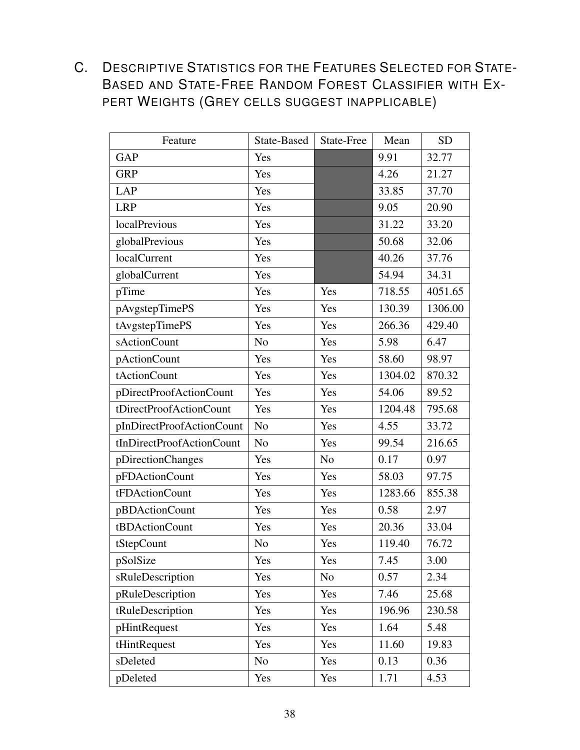<span id="page-37-0"></span>C. DESCRIPTIVE STATISTICS FOR THE FEATURES SELECTED FOR STATE-BASED AND STATE-FREE RANDOM FOREST CLASSIFIER WITH EX-PERT WEIGHTS (GREY CELLS SUGGEST INAPPLICABLE)

| Feature                   | State-Based    | State-Free     | Mean    | <b>SD</b> |
|---------------------------|----------------|----------------|---------|-----------|
| <b>GAP</b>                | Yes            |                | 9.91    | 32.77     |
| <b>GRP</b>                | Yes            |                | 4.26    | 21.27     |
| <b>LAP</b>                | Yes            |                | 33.85   | 37.70     |
| <b>LRP</b>                | Yes            |                | 9.05    | 20.90     |
| localPrevious             | Yes            |                | 31.22   | 33.20     |
| globalPrevious            | Yes            |                | 50.68   | 32.06     |
| localCurrent              | Yes            |                | 40.26   | 37.76     |
| globalCurrent             | Yes            |                | 54.94   | 34.31     |
| pTime                     | Yes            | Yes            | 718.55  | 4051.65   |
| pAvgstepTimePS            | Yes            | Yes            | 130.39  | 1306.00   |
| tAvgstepTimePS            | Yes            | Yes            | 266.36  | 429.40    |
| sActionCount              | N <sub>o</sub> | Yes            | 5.98    | 6.47      |
| pActionCount              | Yes            | Yes            | 58.60   | 98.97     |
| tActionCount              | Yes            | Yes            | 1304.02 | 870.32    |
| pDirectProofActionCount   | Yes            | Yes            | 54.06   | 89.52     |
| tDirectProofActionCount   | Yes            | Yes            | 1204.48 | 795.68    |
| pInDirectProofActionCount | N <sub>o</sub> | Yes            | 4.55    | 33.72     |
| tInDirectProofActionCount | N <sub>o</sub> | Yes            | 99.54   | 216.65    |
| pDirectionChanges         | Yes            | N <sub>0</sub> | 0.17    | 0.97      |
| pFDActionCount            | Yes            | Yes            | 58.03   | 97.75     |
| tFDActionCount            | Yes            | Yes            | 1283.66 | 855.38    |
| pBDActionCount            | Yes            | Yes            | 0.58    | 2.97      |
| tBDActionCount            | Yes            | Yes            | 20.36   | 33.04     |
| tStepCount                | N <sub>o</sub> | Yes            | 119.40  | 76.72     |
| pSolSize                  | Yes            | Yes            | 7.45    | 3.00      |
| sRuleDescription          | Yes            | N <sub>o</sub> | 0.57    | 2.34      |
| pRuleDescription          | Yes            | Yes            | 7.46    | 25.68     |
| tRuleDescription          | Yes            | Yes            | 196.96  | 230.58    |
| pHintRequest              | Yes            | Yes            | 1.64    | 5.48      |
| tHintRequest              | Yes            | Yes            | 11.60   | 19.83     |
| sDeleted                  | N <sub>o</sub> | Yes            | 0.13    | 0.36      |
| pDeleted                  | Yes            | Yes            | 1.71    | 4.53      |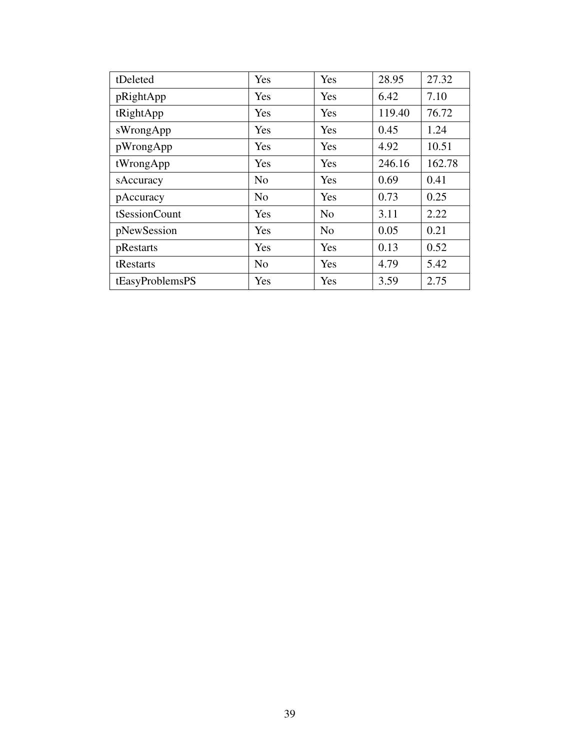| tDeleted        | Yes            | Yes            | 28.95  | 27.32  |
|-----------------|----------------|----------------|--------|--------|
| pRightApp       | Yes            | Yes            | 6.42   | 7.10   |
| tRightApp       | Yes            | Yes            | 119.40 | 76.72  |
| sWrongApp       | Yes            | Yes            | 0.45   | 1.24   |
| pWrongApp       | Yes            | Yes            | 4.92   | 10.51  |
| tWrongApp       | Yes            | Yes            | 246.16 | 162.78 |
| sAccuracy       | N <sub>0</sub> | Yes            | 0.69   | 0.41   |
| pAccuracy       | N <sub>o</sub> | Yes            | 0.73   | 0.25   |
| tSessionCount   | Yes            | N <sub>o</sub> | 3.11   | 2.22   |
| pNewSession     | Yes            | N <sub>0</sub> | 0.05   | 0.21   |
| pRestarts       | Yes            | Yes            | 0.13   | 0.52   |
| tRestarts       | N <sub>0</sub> | Yes            | 4.79   | 5.42   |
| tEasyProblemsPS | Yes            | Yes            | 3.59   | 2.75   |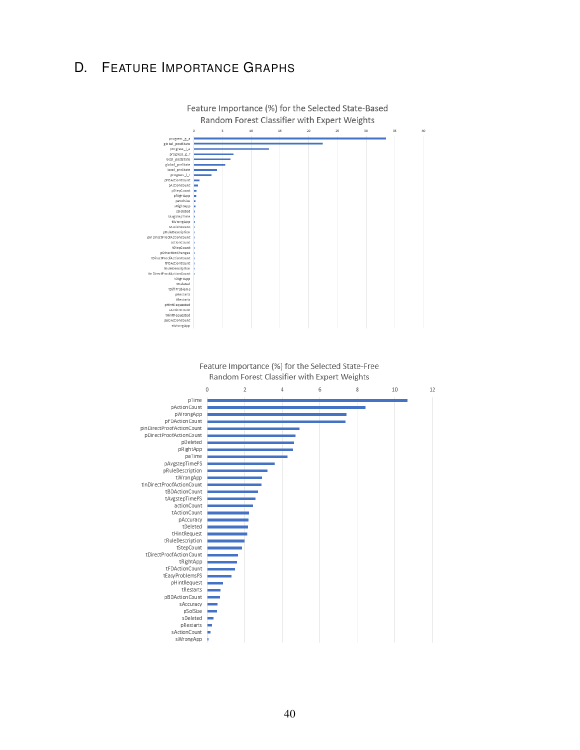# <span id="page-39-0"></span>D. FEATURE IMPORTANCE GRAPHS